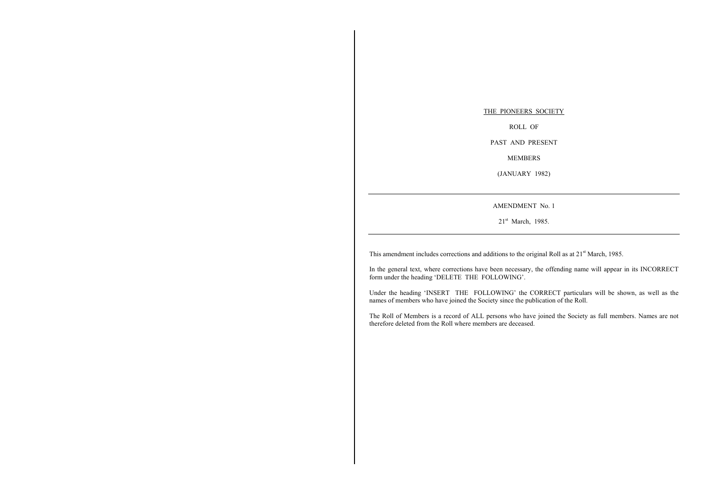THE PIONEERS SOCIETYROLL OF

PAST AND PRESENT

MEMBERS

(JANUARY 1982)

AMENDMENT No. 1

21st March, 1985.

This amendment includes corrections and additions to the original Roll as at 21<sup>st</sup> March, 1985.

In the general text, where corrections have been necessary, the offending name will appear in its INCORRECT form under the heading 'DELETE THE FOLLOWING'.

Under the heading 'INSERT THE FOLLOWING' the CORRECT particulars will be shown, as well as the names of members who have joined the Society since the publication of the Roll.

The Roll of Members is a record of ALL persons who have joined the Society as full members. Names are not therefore deleted from the Roll where members are deceased.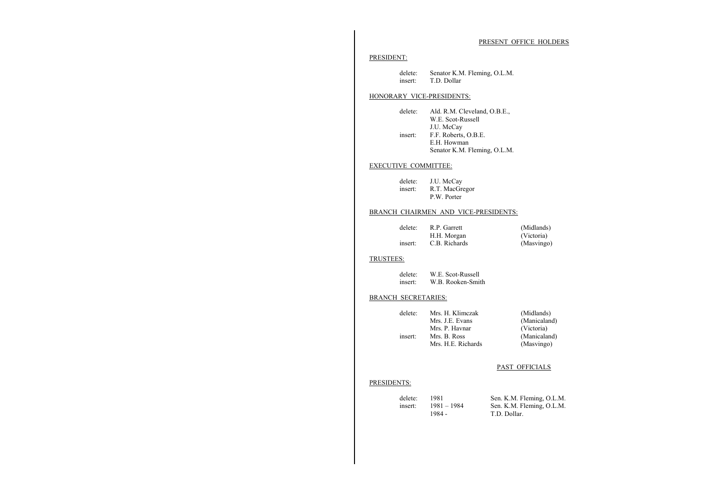#### PRESENT OFFICE HOLDERS

#### PRESIDENT:

delete: Senator K.M. Fleming, O.L.M. insert: T.D. Dollar

#### HONORARY VICE-PRESIDENTS:

delete: Ald. R.M. Cleveland, O.B.E., W.E. Scot-Russell J.U. McCay insert: F.F. Roberts, O.B.E. E.H. Howman Senator K.M. Fleming, O.L.M.

#### EXECUTIVE COMMITTEE:

| delete: | J.U. McCay     |
|---------|----------------|
| insert: | R.T. MacGregor |
|         | P.W. Porter    |

#### BRANCH CHAIRMEN AND VICE-PRESIDENTS:

| delete: | R.P. Garrett  | (Midlands) |
|---------|---------------|------------|
|         | H.H. Morgan   | (Victoria) |
| insert: | C.B. Richards | (Masvingo) |

#### TRUSTEES:

| delete: | W.E. Scot-Russell |
|---------|-------------------|
| insert: | W.B. Rooken-Smith |

#### BRANCH SECRETARIES:

| delete: | Mrs. H. Klimczak   | (Midlands)   |
|---------|--------------------|--------------|
|         | Mrs. J.E. Evans    | (Manicaland) |
|         | Mrs. P. Havnar     | (Victoria)   |
| insert: | Mrs. B. Ross       | (Manicaland) |
|         | Mrs. H.E. Richards | (Masvingo)   |
|         |                    |              |

#### PAST OFFICIALS

#### PRESIDENTS:

| delete: | 1981        | Sen. K.M. Fleming, O.L.M. |
|---------|-------------|---------------------------|
| insert: | 1981 – 1984 | Sen. K.M. Fleming, O.L.M. |
|         | 1984 -      | T.D. Dollar.              |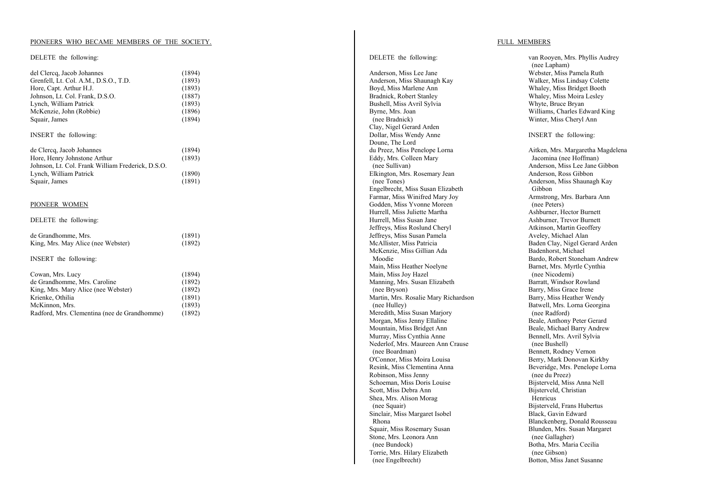#### PIONEERS WHO BECAME MEMBERS OF THE SOCIETY.

#### DELETE the following:

| del Clercq, Jacob Johannes                        | (1894) |
|---------------------------------------------------|--------|
| Grenfell, Lt. Col. A.M., D.S.O., T.D.             | (1893) |
| Hore, Capt. Arthur H.J.                           | (1893) |
| Johnson, Lt. Col. Frank, D.S.O.                   | (1887) |
| Lynch, William Patrick                            | (1893) |
| McKenzie, John (Robbie)                           | (1896) |
| Squair, James                                     | (1894) |
|                                                   |        |
| INSERT the following:                             |        |
| de Clercq, Jacob Johannes                         | (1894) |
| Hore, Henry Johnstone Arthur                      | (1893) |
| Johnson, Lt. Col. Frank William Frederick, D.S.O. |        |
| Lynch, William Patrick                            | (1890) |
| Squair, James                                     | (1891) |
| PIONEER WOMEN                                     |        |
|                                                   |        |
| DELETE the following:                             |        |
| de Grandhomme, Mrs.                               | (1891) |
| King, Mrs. May Alice (nee Webster)                | (1892) |
|                                                   |        |
| INSERT the following:                             |        |
| Cowan, Mrs. Lucy                                  | (1894) |
| de Grandhomme, Mrs. Caroline                      | (1892) |
| King, Mrs. Mary Alice (nee Webster)               | (1892) |
| Krienke, Othilia                                  | (1891) |
| McKinnon, Mrs.                                    | (1893) |
|                                                   |        |

Radford, Mrs. Clementina (nee de Grandhomme) (1892)

#### DELETE the following:

Anderson, Miss Lee Jane Anderson, Miss Shaunagh Kay Boyd, Miss Marlene Ann Bradnick, Robert Stanley Bushell, Miss Avril Sylvia Byrne, Mrs. Joan (nee Bradnick) Clay, Nigel Gerard Arden Dollar, Miss Wendy Anne Doune, The Lord du Preez, Miss Penelope Lorna Eddy, Mrs. Colleen Mary (nee Sullivan) Elkington, Mrs. Rosemary Jean (nee Tones) Engelbrecht, Miss Susan Elizabeth Farmar, Miss Winifred Mary Joy Godden, Miss Yvonne Moreen Hurrell, Miss Juliette Martha Hurrell, Miss Susan Jane Jeffreys, Miss Roslund Cheryl Jeffreys, Miss Susan Pamela McAllister, Miss Patricia McKenzie, Miss Gillian Ada Moodie Main, Miss Heather Noelyne Main, Miss Joy Hazel Manning, Mrs. Susan Elizabeth (nee Bryson) Martin, Mrs. Rosalie Mary Richardson (nee Hulley) Meredith, Miss Susan Marjory Morgan, Miss Jenny Ellaline Mountain, Miss Bridget Ann Murray, Miss Cynthia Anne Nederlof, Mrs. Maureen Ann Crause (nee Boardman) O'Connor, Miss Moira Louisa Resink, Miss Clementina Anna Robinson, Miss Jenny Schoeman, Miss Doris Louise Scott, Miss Debra Ann Shea, Mrs. Alison Morag (nee Squair) Sinclair, Miss Margaret Isobel Rhona Squair, Miss Rosemary Susan Stone, Mrs. Leonora Ann (nee Bundock) Torrie, Mrs. Hilary Elizabeth (nee Engelbrecht)

#### FULL MEMBERS

van Rooyen, Mrs. Phyllis Audrey (nee Lapham) Webster, Miss Pamela Ruth Walker, Miss Lindsay Colette Whaley, Miss Bridget Booth Whaley, Miss Moira Lesley Whyte, Bruce Bryan Williams, Charles Edward King Winter, Miss Cheryl Ann

INSERT the following:

Aitken, Mrs. Margaretha Magdelena Jacomina (nee Hoffman) Anderson, Miss Lee Jane Gibbon Anderson, Ross Gibbon Anderson, Miss Shaunagh Kay Gibbon Armstrong, Mrs. Barbara Ann (nee Peters) Ashburner, Hector Burnett Ashburner, Trevor Burnett Atkinson, Martin Geoffery Aveley, Michael Alan Baden Clay, Nigel Gerard Arden Badenhorst, Michael Bardo, Robert Stoneham Andrew Barnet, Mrs. Myrtle Cynthia (nee Nicodemi) Barratt, Windsor Rowland Barry, Miss Grace Irene Barry, Miss Heather Wendy Batwell, Mrs. Lorna Georgina (nee Radford) Beale, Anthony Peter Gerard Beale, Michael Barry Andrew Bennell, Mrs. Avril Sylvia (nee Bushell) Bennett, Rodney Vernon Berry, Mark Donovan Kirkby Beveridge, Mrs. Penelope Lorna (nee du Preez) Bijsterveld, Miss Anna Nell Bijsterveld, Christian Henricus Bijsterveld, Frans Hubertus Black, Gavin Edward Blanckenberg, Donald Rousseau Blunden, Mrs. Susan Margaret (nee Gallagher) Botha, Mrs. Maria Cecilia (nee Gibson) Botton, Miss Janet Susanne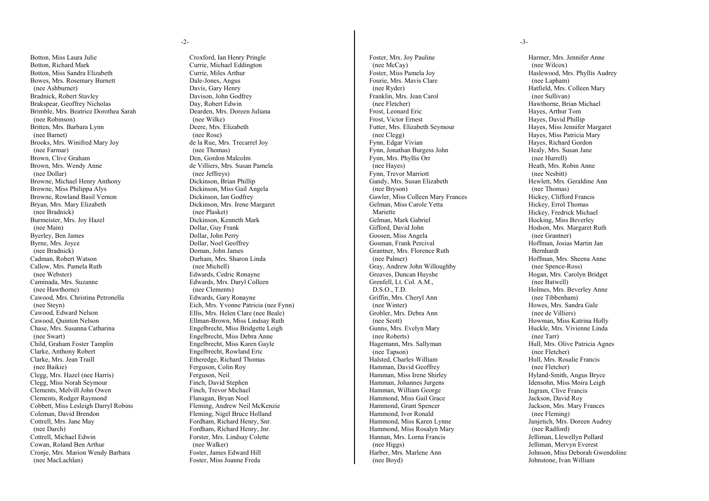#### -2-

Botton, Miss Laura Julie Botton, Richard Mark Botton, Miss Sandra Elizabeth Bowes, Mrs. Rosemary Burnett (nee Ashburner) Bradnick, Robert Stavley Brakspear, Geoffrey Nicholas Brimble, Mrs. Beatrice Dorothea Sarah (nee Robinson) Britten, Mrs. Barbara Lynn (nee Barnet) Brooks, Mrs. Winifred Mary Joy (nee Farmar) Brown, Clive Graham Brown, Mrs. Wendy Anne (nee Dollar) Browne, Michael Henry Anthony Browne, Miss Philippa Alys Browne, Rowland Basil Vernon Bryan, Mrs. Mary Elizabeth (nee Bradnick) Burmeister, Mrs. Joy Hazel (nee Main) Byerley, Ben James Byrne, Mrs. Joyce (nee Bradnick) Cadman, Robert Watson Callow, Mrs. Pamela Ruth (nee Webster) Caminada, Mrs. Suzanne (nee Hawthorne) Cawood, Mrs. Christina Petronella (nee Steyn) Cawood, Edward Nelson Cawood, Quinton Nelson Chase, Mrs. Susanna Catharina (nee Swart) Child, Graham Foster Tamplin Clarke, Anthony Robert Clarke, Mrs. Jean Traill (nee Baikie) Clegg, Mrs. Hazel (nee Harris) Clegg, Miss Norah Seymour Clements, Melvill John Owen Clements, Rodger Raymond Cobbett, Miss Lesleigh Darryl Robins Coleman, David Brendon Cottrell, Mrs. Jane May (nee Darch) Cottrell, Michael Edwin Cowan, Roland Ben Arthur Cronje, Mrs. Marion Wendy Barbara (nee MacLachlan)

Croxford, Ian Henry Pringle Currie, Michael Eddington Currie, Miles Arthur Dale-Jones, Angus Davis, Gary Henry Davison, John Godfrey Day, Robert Edwin Dearden, Mrs. Doreen Juliana (nee Wilke) Deere, Mrs. Elizabeth (nee Rose) de la Rue, Mrs. Trecarrel Joy (nee Thomas) Den, Gordon Malcolm de Villiers, Mrs. Susan Pamela (nee Jeffreys) Dickinson, Brian Phillip Dickinson, Miss Gail Angela Dickinson, Ian Godfrey Dickinson, Mrs. Irene Margaret (nee Plasket) Dickinson, Kenneth Mark Dollar, Guy Frank Dollar, John Perry Dollar, Noel Geoffrey Doman, John James Durham, Mrs. Sharon Linda (nee Michell) Edwards, Cedric Ronayne Edwards, Mrs. Daryl Colleen (nee Clements) Edwards, Gary Ronayne Eich, Mrs. Yvonne Patricia (nee Fynn) Ellis, Mrs. Helen Clare (nee Beale) Ellman-Brown, Miss Lindsay Ruth Engelbrecht, Miss Bridgette Leigh Engelbrecht, Miss Debra Anne Engelbrecht, Miss Karen Gayle Engelbrecht, Rowland Eric Etheredge, Richard Thomas Ferguson, Colin Roy Ferguson, Neil Finch, David Stephen Finch, Trevor Michael Flanagan, Bryan Noel Fleming, Andrew Neil McKenzie Fleming, Nigel Bruce Holland Fordham, Richard Henry, Snr. Fordham, Richard Henry, Jnr. Forster, Mrs. Lindsay Colette (nee Walker) Foster, James Edward Hill Foster, Miss Joanne Freda

Foster, Mrs. Joy Pauline (nee McCay) Foster, Miss Pamela Joy Fourie, Mrs. Mavis Clare (nee Ryder) Franklin, Mrs. Jean Carol (nee Fletcher) Frost, Leonard Eric Frost, Victor Ernest Futter, Mrs. Elizabeth Seymour (nee Clegg) Fynn, Edgar Vivian Fynn, Jonathan Burgess John Fynn, Mrs. Phyllis Orr (nee Hayes) Fynn, Trevor Marriott Gandy, Mrs. Susan Elizabeth (nee Bryson) Gawler, Miss Colleen Mary Frances Gelman, Miss Carole Yetta Mariette Gelman, Mark Gabriel Gifford, David John Goosen, Miss Angela Gosman, Frank Percival Grantner, Mrs. Florence Ruth (nee Palmer) Gray, Andrew John Willoughby Greaves, Duncan Huyshe Grenfell, Lt. Col. A.M., D.S.O., T.D. Griffin, Mrs. Cheryl Ann (nee Winter) Grobler, Mrs. Debra Ann (nee Scott) Gunns, Mrs. Evelyn Mary (nee Roberts) Hagemann, Mrs. Sallyman (nee Tapson) Halsted, Charles William Hamman, David Geoffrey Hamman, Miss Irene Shirley Hamman, Johannes Jurgens Hamman, William George Hammond, Miss Gail Grace Hammond, Grant Spencer Hammond, Ivor Ronald Hammond, Miss Karen Lynne Hammond, Miss Rosalyn Mary Hannan, Mrs. Lorna Francis (nee Higgs) Harber, Mrs. Marlene Ann (nee Boyd)

-3-

Harmer, Mrs. Jennifer Anne (nee Wilcox) Haslewood, Mrs. Phyllis Audrey (nee Lapham) Hatfield, Mrs. Colleen Mary (nee Sullivan) Hawthorne, Brian Michael Hayes, Arthur Tom Hayes, David Phillip Hayes, Miss Jennifer Margaret Hayes, Miss Patricia Mary Hayes, Richard Gordon Healy, Mrs. Susan Jane (nee Hurrell) Heath, Mrs. Robin Anne (nee Nesbitt) Hewlett, Mrs. Geraldine Ann (nee Thomas) Hickey, Clifford Francis Hickey, Errol Thomas Hickey, Fredrick Michael Hocking, Miss Beverley Hodson, Mrs. Margaret Ruth (nee Grantner) Hoffman, Josias Martin Jan Bernhardt Hoffman, Mrs. Sheena Anne (nee Spence-Ross) Hogan, Mrs. Carolyn Bridget (nee Batwell) Holmes, Mrs. Beverley Anne (nee Tibbenham) Howes, Mrs. Sandra Gale (nee de Villiers) Howman, Miss Katrina Holly Huckle, Mrs. Vivienne Linda (nee Tarr) Hull, Mrs. Olive Patricia Agnes (nee Fletcher) Hull, Mrs. Rosalie Francis (nee Fletcher) Hyland-Smith, Angus Bryce Idensohn, Miss Moira Leigh Ingram, Clive Francis Jackson, David Roy Jackson, Mrs. Mary Frances (nee Fleming) Janjetich, Mrs. Doreen Audrey (nee Radford) Jelliman, Llewellyn Pollard Jelliman, Mervyn Everest Johnson, Miss Deborah Gwendoline Johnstone, Ivan William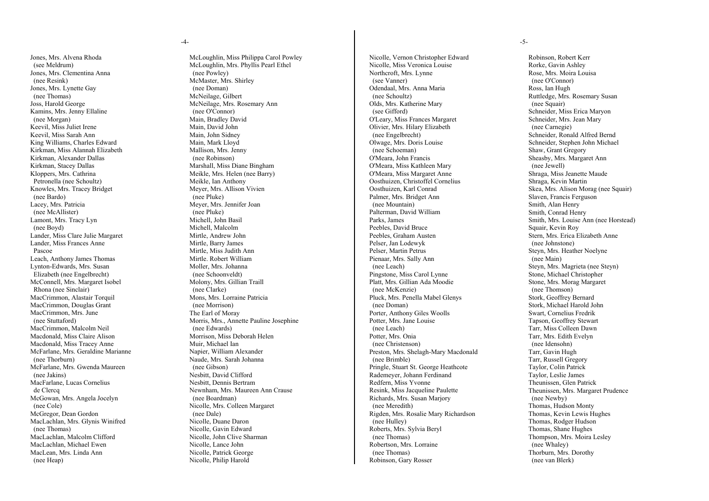-4-

Jones, Mrs. Alvena Rhoda (see Meldrum) Jones, Mrs. Clementina Anna (nee Resink) Jones, Mrs. Lynette Gay (nee Thomas) Joss, Harold George Kamins, Mrs. Jenny Ellaline (nee Morgan) Keevil, Miss Juliet Irene Keevil, Miss Sarah Ann King Williams, Charles Edward Kirkman, Miss Alannah Elizabeth Kirkman, Alexander Dallas Kirkman, Stacey Dallas Kloppers, Mrs. Cathrina Petronella (nee Schoultz) Knowles, Mrs. Tracey Bridget (nee Bardo) Lacey, Mrs. Patricia (nee McAllister) Lamont, Mrs. Tracy Lyn (nee Boyd) Lander, Miss Clare Julie Margaret Lander, Miss Frances Anne Pascoe Leach, Anthony James Thomas Lynton-Edwards, Mrs. Susan Elizabeth (nee Engelbrecht) McConnell, Mrs. Margaret Isobel Rhona (nee Sinclair) MacCrimmon, Alastair Torquil MacCrimmon, Douglas Grant MacCrimmon, Mrs. June (nee Stuttaford) MacCrimmon, Malcolm Neil Macdonald, Miss Claire Alison Macdonald, Miss Tracey Anne McFarlane, Mrs. Geraldine Marianne (nee Thorburn) McFarlane, Mrs. Gwenda Maureen (nee Jakins) MacFarlane, Lucas Cornelius de Clercq McGowan, Mrs. Angela Jocelyn (nee Cole) McGregor, Dean Gordon MacLachlan, Mrs. Glynis Winifred (nee Thomas) MacLachlan, Malcolm Clifford MacLachlan, Michael Ewen MacLean, Mrs. Linda Ann (nee Heap)

McLoughlin, Miss Philippa Carol Powley McLoughlin, Mrs. Phyllis Pearl Ethel (nee Powley) McMaster, Mrs. Shirley (nee Doman) McNeilage, Gilbert McNeilage, Mrs. Rosemary Ann (nee O'Connor) Main, Bradley David Main, David John Main, John Sidney Main, Mark Lloyd Mallison, Mrs. Jenny (nee Robinson) Marshall, Miss Diane Bingham Meikle, Mrs. Helen (nee Barry) Meikle, Ian Anthony Meyer, Mrs. Allison Vivien (nee Pluke) Meyer, Mrs. Jennifer Joan (nee Pluke) Michell, John Basil Michell, Malcolm Mirtle, Andrew John Mirtle, Barry James Mirtle, Miss Judith Ann Mirtle. Robert William Moller, Mrs. Johanna (nee Schoonveldt) Molony, Mrs. Gillian Traill (nee Clarke) Mons, Mrs. Lorraine Patricia (nee Morrison) The Earl of Moray Morris, Mrs., Annette Pauline Josephine (nee Edwards) Morrison, Miss Deborah Helen Muir, Michael Ian Napier, William Alexander Naude, Mrs. Sarah Johanna (nee Gibson) Nesbitt, David Clifford Nesbitt, Dennis Bertram Newnham, Mrs. Maureen Ann Crause (nee Boardman) Nicolle, Mrs. Colleen Margaret (nee Dale) Nicolle, Duane Daron Nicolle, Gavin Edward Nicolle, John Clive Sharman Nicolle, Lance John Nicolle, Patrick George Nicolle, Philip Harold

Nicolle, Vernon Christopher Edward Nicolle, Miss Veronica Louise Northcroft, Mrs. Lynne (see Vanner) Odendaal, Mrs. Anna Maria (nee Schoultz) Olds, Mrs. Katherine Mary (see Gifford) O'Leary, Miss Frances Margaret Olivier, Mrs. Hilary Elizabeth (nee Engelbrecht) Olwage, Mrs. Doris Louise (nee Schoeman) O'Meara, John Francis O'Meara, Miss Kathleen Mary O'Meara, Miss Margaret Anne Oosthuizen, Christoffel Cornelius Oosthuizen, Karl Conrad Palmer, Mrs. Bridget Ann (nee Mountain) Palterman, David William Parks, James Peebles, David Bruce Peebles, Graham Austen Pelser, Jan Lodewyk Pelser, Martin Petrus Pienaar, Mrs. Sally Ann (nee Leach) Pingstone, Miss Carol Lynne Platt, Mrs. Gillian Ada Moodie (nee McKenzie) Pluck, Mrs. Penella Mabel Glenys (nee Doman) Porter, Anthony Giles Woolls Potter, Mrs. Jane Louise (nee Leach) Potter, Mrs. Onia (nee Christenson) Preston, Mrs. Shelagh-Mary Macdonald (nee Brimble) Pringle, Stuart St. George Heathcote Rademeyer, Johann Ferdinand Redfern, Miss Yvonne Resink, Miss Jacqueline Paulette Richards, Mrs. Susan Marjory (nee Meredith) Rigden, Mrs. Rosalie Mary Richardson (nee Hulley) Roberts, Mrs. Sylvia Beryl (nee Thomas) Robertson, Mrs. Lorraine (nee Thomas) Robinson, Gary Rosser

-5-

Robinson, Robert Kerr Rorke, Gavin Ashley Rose, Mrs. Moira Louisa (nee O'Connor) Ross, Ian Hugh Ruttledge, Mrs. Rosemary Susan (nee Squair) Schneider, Miss Erica Maryon Schneider, Mrs. Jean Mary (nee Carnegie) Schneider, Ronald Alfred Bernd Schneider, Stephen John Michael Shaw, Grant Gregory Sheasby, Mrs. Margaret Ann (nee Jewell) Shraga, Miss Jeanette Maude Shraga, Kevin Martin Skea, Mrs. Alison Morag (nee Squair) Slaven, Francis Ferguson Smith, Alan Henry Smith, Conrad Henry Smith, Mrs. Louise Ann (nee Horstead) Squair, Kevin Roy Stern, Mrs. Erica Elizabeth Anne (nee Johnstone) Steyn, Mrs. Heather Noelyne (nee Main) Steyn, Mrs. Magrieta (nee Steyn) Stone, Michael Christopher Stone, Mrs. Morag Margaret (nee Thomson) Stork, Geoffrey Bernard Stork, Michael Harold John Swart, Cornelius Fredrik Tapson, Geoffrey Stewart Tarr, Miss Colleen Dawn Tarr, Mrs. Edith Evelyn (nee Idensohn) Tarr, Gavin Hugh Tarr, Russell Gregory Taylor, Colin Patrick Taylor, Leslie James Theunissen, Glen Patrick Theunissen, Mrs. Margaret Prudence (nee Newby) Thomas, Hudson Monty Thomas, Kevin Lewis Hughes Thomas, Rodger Hudson Thomas, Shane Hughes Thompson, Mrs. Moira Lesley (nee Whaley) Thorburn, Mrs. Dorothy (nee van Blerk)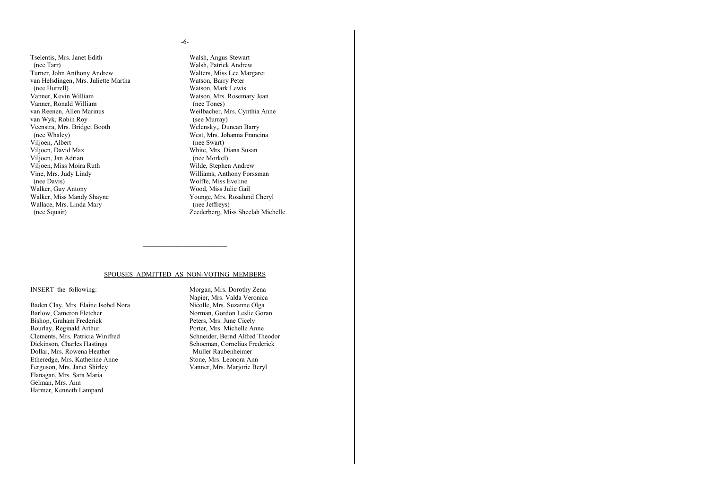#### -6-

Tselentis, Mrs. Janet Edith (nee Tarr) Turner, John Anthony Andrew van Helsdingen, Mrs. Juliette Martha (nee Hurrell) Vanner, Kevin William Vanner, Ronald William van Reenen, Allen Marinus van Wyk, Robin Roy Veenstra, Mrs. Bridget Booth (nee Whaley) Viljoen, Albert Viljoen, David Max Viljoen, Jan Adrian Viljoen, Miss Moira Ruth Vine, Mrs. Judy Lindy (nee Davis) Walker, Guy Antony Walker, Miss Mandy Shayne Wallace, Mrs. Linda Mary (nee Squair)

Walsh, Angus Stewart Walsh, Patrick Andrew Walters, Miss Lee Margaret Watson, Barry Peter Watson, Mark Lewis Watson, Mrs. Rosemary Jean (nee Tones) Weilbacher, Mrs. Cynthia Anne (see Murray) Welensky,, Duncan Barry West, Mrs. Johanna Francina (nee Swart) White, Mrs. Diana Susan (nee Morkel) Wilde, Stephen Andrew Williams, Anthony Forssman Wolffe, Miss Eveline Wood, Miss Julie Gail Younge, Mrs. Rosalund Cheryl (nee Jeffreys) Zeederberg, Miss Sheelah Michelle.

#### SPOUSES ADMITTED AS NON-VOTING MEMBERS

\_\_\_\_\_\_\_\_\_\_\_\_\_\_\_\_\_\_\_\_\_\_\_\_\_

#### INSERT the following:

Baden Clay, Mrs. Elaine Isobel Nora Barlow, Cameron Fletcher Bishop, Graham Frederick Bourlay, Reginald Arthur Clements, Mrs. Patricia Winifred Dickinson, Charles Hastings Dollar, Mrs. Rowena Heather Etheredge, Mrs. Katherine Anne Ferguson, Mrs. Janet Shirley Flanagan, Mrs. Sara Maria Gelman, Mrs. Ann Harmer, Kenneth Lampard

Morgan, Mrs. Dorothy Zena Napier, Mrs. Valda Veronica Nicolle, Mrs. Suzanne Olga Norman, Gordon Leslie Goran Peters, Mrs. June Cicely Porter, Mrs. Michelle Anne Schneider, Bernd Alfred Theodor Schoeman, Cornelius Frederick Muller Raubenheimer Stone, Mrs. Leonora Ann Vanner, Mrs. Marjorie Beryl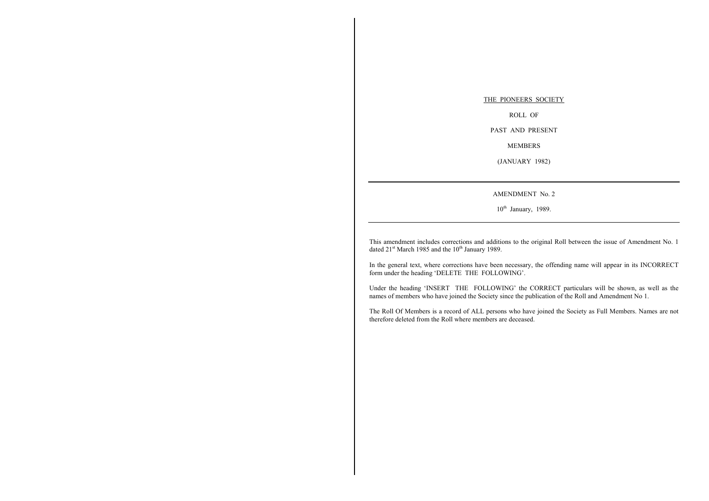#### THE PIONEERS SOCIETY

ROLL OF

PAST AND PRESENT

MEMBERS

(JANUARY 1982)

AMENDMENT No. 2

 $10^{th}$  January, 1989.

This amendment includes corrections and additions to the original Roll between the issue of Amendment No. 1 dated  $21<sup>st</sup>$  March 1985 and the  $10<sup>th</sup>$  January 1989.

In the general text, where corrections have been necessary, the offending name will appear in its INCORRECT form under the heading 'DELETE THE FOLLOWING'.

Under the heading 'INSERT THE FOLLOWING' the CORRECT particulars will be shown, as well as the names of members who have joined the Society since the publication of the Roll and Amendment No 1.

The Roll Of Members is a record of ALL persons who have joined the Society as Full Members. Names are not therefore deleted from the Roll where members are deceased.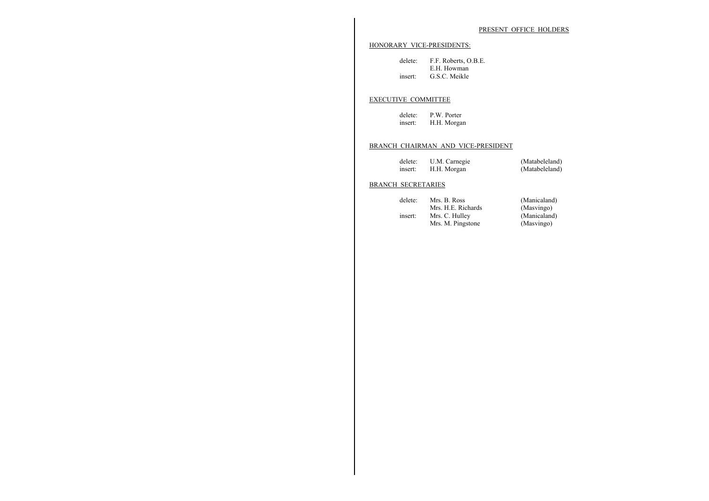#### PRESENT OFFICE HOLDERS

#### HONORARY VICE-PRESIDENTS:

| delete: | F.F. Roberts, O.B.E. |  |
|---------|----------------------|--|
|         | E.H. Howman          |  |
| insert: | G.S.C. Meikle        |  |

#### EXECUTIVE COMMITTEE

delete: P.W. Porter insert: H.H. Morgan

#### BRANCH CHAIRMAN AND VICE-PRESIDENT

| delete: | U.M. Carnegie | (Matabeleland) |
|---------|---------------|----------------|
| insert: | H.H. Morgan   | (Matabeleland) |

#### BRANCH SECRETARIES

| delete: | Mrs. B. Ross       | (Manicaland) |
|---------|--------------------|--------------|
|         | Mrs. H.E. Richards | (Masvingo)   |
| insert: | Mrs. C. Hulley     | (Manicaland) |
|         | Mrs. M. Pingstone  | (Masvingo)   |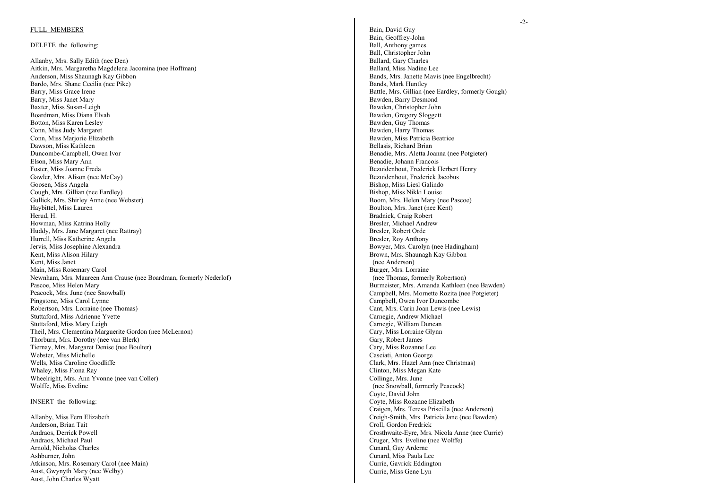#### FULL MEMBERS

#### DELETE the following:

Allanby, Mrs. Sally Edith (nee Den) Aitkin, Mrs. Margaretha Magdelena Jacomina (nee Hoffman) Anderson, Miss Shaunagh Kay Gibbon Bardo, Mrs. Shane Cecilia (nee Pike) Barry, Miss Grace Irene Barry, Miss Janet Mary Baxter, Miss Susan-Leigh Boardman, Miss Diana Elvah Botton, Miss Karen Lesley Conn, Miss Judy Margaret Conn, Miss Marjorie Elizabeth Dawson, Miss Kathleen Duncombe-Campbell, Owen Ivor Elson, Miss Mary Ann Foster, Miss Joanne Freda Gawler, Mrs. Alison (nee McCay) Goosen, Miss Angela Cough, Mrs. Gillian (nee Eardley) Gullick, Mrs. Shirley Anne (nee Webster) Haybittel, Miss Lauren Herud, H. Howman, Miss Katrina Holly Huddy, Mrs. Jane Margaret (nee Rattray) Hurrell, Miss Katherine Angela Jervis, Miss Josephine Alexandra Kent, Miss Alison Hilary Kent, Miss Janet Main, Miss Rosemary Carol Newnham, Mrs. Maureen Ann Crause (nee Boardman, formerly Nederlof) Pascoe, Miss Helen Mary Peacock, Mrs. June (nee Snowball) Pingstone, Miss Carol Lynne Robertson, Mrs. Lorraine (nee Thomas) Stuttaford, Miss Adrienne Yvette Stuttaford, Miss Mary Leigh Theil, Mrs. Clementina Marguerite Gordon (nee McLernon) Thorburn, Mrs. Dorothy (nee van Blerk) Tiernay, Mrs. Margaret Denise (nee Boulter) Webster, Miss Michelle Wells, Miss Caroline Goodliffe Whaley, Miss Fiona Ray Wheelright, Mrs. Ann Yvonne (nee van Coller) Wolffe, Miss Eveline

INSERT the following:

Allanby, Miss Fern Elizabeth Anderson, Brian Tait Andraos, Derrick Powell Andraos, Michael Paul Arnold, Nicholas Charles Ashburner, John Atkinson, Mrs. Rosemary Carol (nee Main) Aust, Gwynyth Mary (nee Welby) Aust, John Charles Wyatt

Bain, David Guy Bain, Geoffrey-John Ball, Anthony games Ball, Christopher John Ballard, Gary Charles Ballard, Miss Nadine Lee Bands, Mrs. Janette Mavis (nee Engelbrecht) Bands, Mark Huntley Battle, Mrs. Gillian (nee Eardley, formerly Gough) Bawden, Barry Desmond Bawden, Christopher John Bawden, Gregory Sloggett Bawden, Guy Thomas Bawden, Harry Thomas Bawden, Miss Patricia Beatrice Bellasis, Richard Brian Benadie, Mrs. Aletta Joanna (nee Potgieter) Benadie, Johann Francois Bezuidenhout, Frederick Herbert Henry Bezuidenhout, Frederick Jacobus Bishop, Miss Liesl Galindo Bishop, Miss Nikki Louise Boom, Mrs. Helen Mary (nee Pascoe) Boulton, Mrs. Janet (nee Kent) Bradnick, Craig Robert Bresler, Michael Andrew Bresler, Robert Orde Bresler, Roy Anthony Bowyer, Mrs. Carolyn (nee Hadingham) Brown, Mrs. Shaunagh Kay Gibbon (nee Anderson) Burger, Mrs. Lorraine (nee Thomas, formerly Robertson) Burmeister, Mrs. Amanda Kathleen (nee Bawden) Campbell, Mrs. Mornette Rozita (nee Potgieter) Campbell, Owen Ivor Duncombe Cant, Mrs. Carin Joan Lewis (nee Lewis) Carnegie, Andrew Michael Carnegie, William Duncan Cary, Miss Lorraine Glynn Gary, Robert James Cary, Miss Rozanne Lee Casciati, Anton George Clark, Mrs. Hazel Ann (nee Christmas) Clinton, Miss Megan Kate Collinge, Mrs. June (nee Snowball, formerly Peacock) Coyte, David John Coyte, Miss Rozanne Elizabeth Craigen, Mrs. Teresa Priscilla (nee Anderson) Creigh-Smith, Mrs. Patricia Jane (nee Bawden) Croll, Gordon Fredrick Crosthwaite-Eyre, Mrs. Nicola Anne (nee Currie) Cruger, Mrs. Eveline (nee Wolffe) Cunard, Guy Arderne Cunard, Miss Paula Lee Currie, Gavrick Eddington Currie, Miss Gene Lyn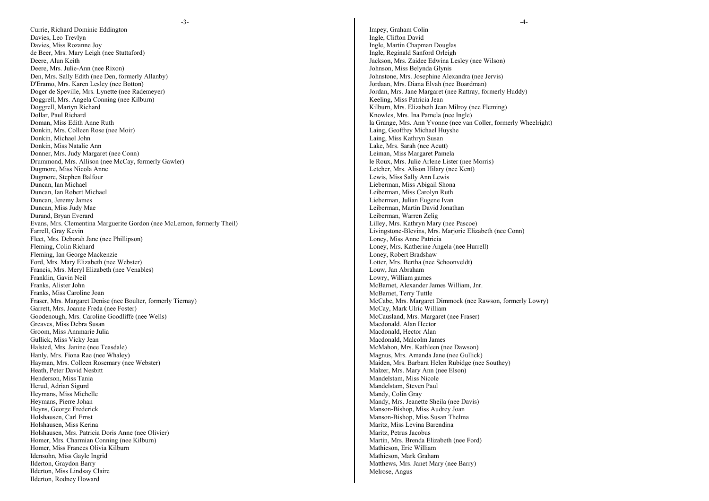Currie, Richard Dominic Eddington Davies, Leo Trevlyn Davies, Miss Rozanne Joy de Beer, Mrs. Mary Leigh (nee Stuttaford) Deere, Alun Keith Deere, Mrs. Julie-Ann (nee Rixon) Den, Mrs. Sally Edith (nee Den, formerly Allanby) D'Eramo, Mrs. Karen Lesley (nee Botton) Doger de Speville, Mrs. Lynette (nee Rademeyer) Doggrell, Mrs. Angela Conning (nee Kilburn) Doggrell, Martyn Richard Dollar, Paul Richard Doman, Miss Edith Anne Ruth Donkin, Mrs. Colleen Rose (nee Moir) Donkin, Michael John Donkin, Miss Natalie Ann Donner, Mrs. Judy Margaret (nee Conn) Drummond, Mrs. Allison (nee McCay, formerly Gawler) Dugmore, Miss Nicola Anne Dugmore, Stephen Balfour Duncan, Ian Michael Duncan, Ian Robert Michael Duncan, Jeremy James Duncan, Miss Judy Mae Durand, Bryan Everard Evans, Mrs. Clementina Marguerite Gordon (nee McLernon, formerly Theil) Farrell, Gray Kevin Fleet, Mrs. Deborah Jane (nee Phillipson) Fleming, Colin Richard Fleming, Ian George Mackenzie Ford, Mrs. Mary Elizabeth (nee Webster) Francis, Mrs. Meryl Elizabeth (nee Venables) Franklin, Gavin Neil Franks, Alister John Franks, Miss Caroline Joan Fraser, Mrs. Margaret Denise (nee Boulter, formerly Tiernay) Garrett, Mrs. Joanne Freda (nee Foster) Goodenough, Mrs. Caroline Goodliffe (nee Wells) Greaves, Miss Debra Susan Groom, Miss Annmarie Julia Gullick, Miss Vicky Jean Halsted, Mrs. Janine (nee Teasdale) Hanly, Mrs. Fiona Rae (nee Whaley) Hayman, Mrs. Colleen Rosemary (nee Webster) Heath, Peter David Nesbitt Henderson, Miss Tania Herud, Adrian Sigurd Heymans, Miss Michelle Heymans, Pierre Johan Heyns, George Frederick Holshausen, Carl Ernst Holshausen, Miss Kerina Holshausen, Mrs. Patricia Doris Anne (nee Olivier) Homer, Mrs. Charmian Conning (nee Kilburn) Homer, Miss Frances Olivia Kilburn Idensohn, Miss Gayle Ingrid Ilderton, Graydon Barry Ilderton, Miss Lindsay Claire Ilderton, Rodney Howard

Impey, Graham Colin Ingle, Clifton David Ingle, Martin Chapman Douglas Ingle, Reginald Sanford Orleigh Jackson, Mrs. Zaidee Edwina Lesley (nee Wilson) Johnson, Miss Belynda Glynis Johnstone, Mrs. Josephine Alexandra (nee Jervis) Jordaan, Mrs. Diana Elvah (nee Boardman) Jordan, Mrs. Jane Margaret (nee Rattray, formerly Huddy) Keeling, Miss Patricia Jean Kilburn, Mrs. Elizabeth Jean Milroy (nee Fleming) Knowles, Mrs. Ina Pamela (nee Ingle) la Grange, Mrs. Ann Yvonne (nee van Coller, formerly Wheelright) Laing, Geoffrey Michael Huyshe Laing, Miss Kathryn Susan Lake, Mrs. Sarah (nee Acutt) Leiman, Miss Margaret Pamela le Roux, Mrs. Julie Arlene Lister (nee Morris) Letcher, Mrs. Alison Hilary (nee Kent) Lewis, Miss Sally Ann Lewis Lieberman, Miss Abigail Shona Leiberman, Miss Carolyn Ruth Lieberman, Julian Eugene Ivan Leiberman, Martin David Jonathan Leiberman, Warren Zelig Lilley, Mrs. Kathryn Mary (nee Pascoe) Livingstone-Blevins, Mrs. Marjorie Elizabeth (nee Conn) Loney, Miss Anne Patricia Loney, Mrs. Katherine Angela (nee Hurrell) Loney, Robert Bradshaw Lotter, Mrs. Bertha (nee Schoonveldt) Louw, Jan Abraham Lowry, William games McBarnet, Alexander James William, Jnr. McBarnet, Terry Tuttle McCabe, Mrs. Margaret Dimmock (nee Rawson, formerly Lowry) McCay, Mark Ulric William McCausland, Mrs. Margaret (nee Fraser) Macdonald. Alan Hector Macdonald, Hector Alan Macdonald, Malcolm James McMahon, Mrs. Kathleen (nee Dawson) Magnus, Mrs. Amanda Jane (nee Gullick) Maiden, Mrs. Barbara Helen Rubidge (nee Southey) Malzer, Mrs. Mary Ann (nee Elson) Mandelstam, Miss Nicole Mandelstam, Steven Paul Mandy, Colin Gray Mandy, Mrs. Jeanette Sheila (nee Davis) Manson-Bishop, Miss Audrey Joan Manson-Bishop, Miss Susan Thelma Maritz, Miss Levina Barendina Maritz, Petrus Jacobus Martin, Mrs. Brenda Elizabeth (nee Ford) Mathieson, Eric William Mathieson, Mark Graham Matthews, Mrs. Janet Mary (nee Barry) Melrose, Angus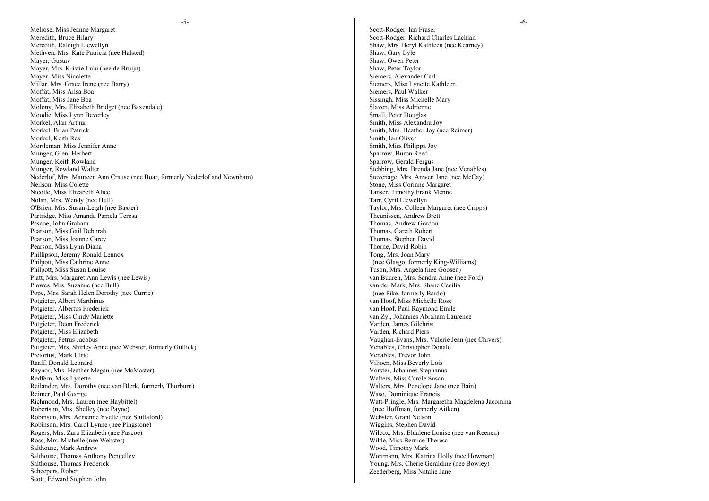-5-

Melrose, Miss Jeanne Margaret Meredith, Bruce Hilary Meredith, Raleigh Llewellyn Methven, Mrs. Kate Patricia (nee Halsted) Mayer, Gustav Mayer, Mrs. Kristie Lulu (nee de Bruijn) Mayer, Miss Nicolette Millar, Mrs. Grace Irene (nee Barry) Moffat, Miss Ailsa Boa Moffat, Miss Jane Boa Molony, Mrs. Elizabeth Bridget (nee Baxendale) Moodie, Miss Lynn Beverley Morkel, Alan Arthur Morkel. Brian Patrick Morkel, Keith Rex Mortleman, Miss Jennifer Anne Munger, Glen, Herbert Munger, Keith Rowland Munger, Rowland Walter Nederlof, Mrs. Maureen Ann Crause (nee Boar, formerly Nederlof and Newnham) Neilson, Miss Colette Nicolle, Miss Elizabeth Alice Nolan, Mrs. Wendy (nee Hull) O'Brien, Mrs. Susan-Leigh (nee Baxter) Partridge, Miss Amanda Pamela Teresa Pascoe, John Graham Pearson, Miss Gail Deborah Pearson, Miss Joanne Carey Pearson, Miss Lynn Diana Phillipson, Jeremy Ronald Lennox Philpott, Miss Cathrine Anne Philpott, Miss Susan Louise Platt, Mrs. Margaret Ann Lewis (nee Lewis) Plowes, Mrs. Suzanne (nee Bull) Pope, Mrs. Sarah Helen Dorothy (nee Currie) Potgieter, Albert Marthinus Potgieter, Albertus Frederick Potgieter, Miss Cindy Mariette Potgieter, Deon Frederick Potgieter, Miss Elizabeth Potgieter, Petrus Jacobus Potgieter, Mrs. Shirley Anne (nee Webster, formerly Gullick) Pretorius, Mark Ulric Raaff, Donald Leonard Raynor, Mrs. Heather Megan (nee McMaster) Redfern, Miss Lynette Reilander, Mrs. Dorothy (nee van Blerk, formerly Thorburn) Reimer, Paul George Richmond, Mrs. Lauren (nee Haybittel) Robertson, Mrs. Shelley (nee Payne) Robinson, Mrs. Adrienne Yvette (nee Stuttaford) Robinson, Mrs. Carol Lynne (nee Pingstone) Rogers, Mrs. Zara Elizabeth (nee Pascoe) Ross, Mrs. Michelle (nee Webster) Salthouse, Mark Andrew Salthouse, Thomas Anthony Pengelley Salthouse, Thomas Frederick Scheepers, Robert Scott, Edward Stephen John

Scott-Rodger, Ian Fraser Scott-Rodger, Richard Charles Lachlan Shaw, Mrs. Beryl Kathleen (nee Kearney) Shaw, Gary Lyle Shaw, Owen Peter Shaw, Peter Taylor Siemers, Alexander Carl Siemers, Miss Lynette Kathleen Siemers, Paul Walker Sissingh, Miss Michelle Mary Slaven, Miss Adrienne Small, Peter Douglas Smith, Miss Alexandra Joy Smith, Mrs. Heather Joy (nee Reimer) Smith, Ian Oliver Smith, Miss Philippa Joy Sparrow, Buron Reed Sparrow, Gerald Fergus Stebbing, Mrs. Brenda Jane (nee Venables) Stevenage, Mrs. Anwen Jane (nee McCay) Stone, Miss Corinne Margaret Tanser, Timothy Frank Menne Tarr, Cyril Llewellyn Taylor, Mrs. Colleen Margaret (nee Cripps) Theunissen, Andrew Brett Thomas, Andrew Gordon Thomas, Gareth Robert Thomas, Stephen David Thorne, David Robin Tong, Mrs. Joan Mary (nee Glasgo, formerly King-Williams) Tuson, Mrs. Angela (nee Goosen) van Buuren, Mrs. Sandra Anne (nee Ford) van der Mark, Mrs. Shane Cecilia (nee Pike, formerly Bardo) van Hoof, Miss Michelle Rose van Hoof, Paul Raymond Emile van Zyl, Johannes Abraham Laurence Varden, James Gilchrist Varden, Richard Piers Vaughan-Evans, Mrs. Valerie Jean (nee Chivers) Venables, Christopher Donald Venables, Trevor John Viljoen, Miss Beverly Lois Vorster, Johannes Stephanus Walters, Miss Carole Susan Walters, Mrs. Penelope Jane (nee Bain) Waso, Dominique Francis Watt-Pringle, Mrs. Margaretha Magdelena Jacomina (nee Hoffman, formerly Aitken) Webster, Grant Nelson Wiggins, Stephen David Wilcox, Mrs. Eldalene Louise (nee van Reenen) Wilde, Miss Bernice Theresa Wood, Timothy Mark Wortmann, Mrs. Katrina Holly (nee Howman) Young, Mrs. Cherie Geraldine (nee Bowley) Zeederberg, Miss Natalie Jane

-6-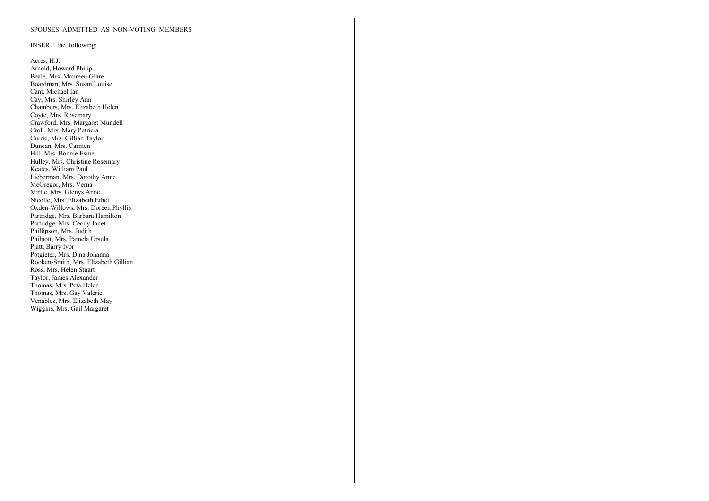#### SPOUSES ADMITTED AS NON-VOTING MEMBERS

INSERT the following:

Acres, H.J. Arnold, Howard Philip Beale, Mrs. Maureen Glare Boardman, Mrs. Susan Louise Cant, Michael Ian Cay, Mrs. Shirley Ann Chambers, Mrs. Elizabeth Helen Coyte, Mrs. Rosemary Crawford, Mrs. Margaret Mundell Croll, Mrs. Mary Patricia Currie, Mrs. Gillian Taylor Duncan, Mrs. Carmen Hill, Mrs. Bonnie Esme Hulley, Mrs. Christine Rosemary Keates, William Paul Lieberman, Mrs. Dorothy Anne McGregor, Mrs. Verna Mirtle, Mrs. Glenys Anne Nicolle, Mrs. Elizabeth Ethel Oxden-Willows, Mrs. Doreen Phyllis Partridge, Mrs. Barbara Hamilton Partridge, Mrs. Cecily Janet Phillipson, Mrs. Judith Philpott, Mrs. Pamela Ursula Platt, Barry Ivor Potgieter, Mrs. Dina Johanna Rooken-Smith, Mrs. Elizabeth Gillian Ross, Mrs. Helen Stuart Taylor, James Alexander Thomas, Mrs. Peta Helen Thomas, Mrs. Gay Valerie Venables, Mrs. Elizabeth May Wiggins, Mrs. Gail Margaret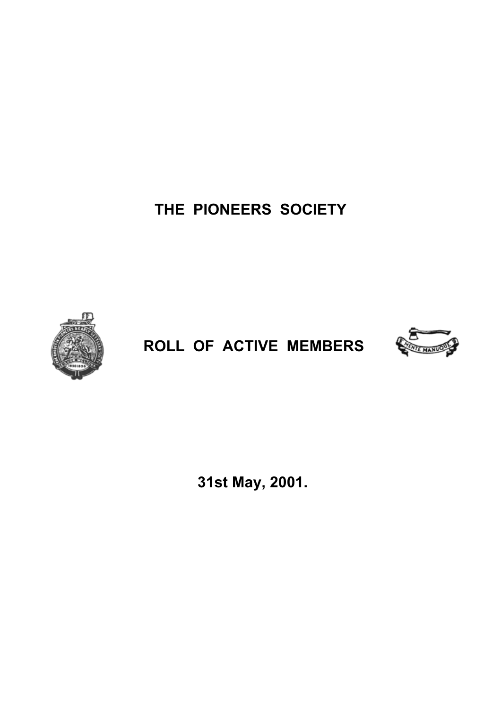**THE PIONEERS SOCIETY** 



# **ROLL OF ACTIVE MEMBERS**



 **31st May, 2001.**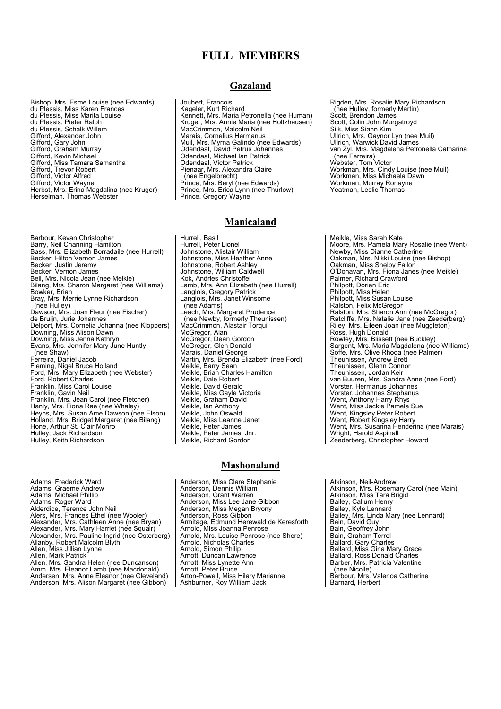# **FULL MEMBERS**

Bishop, Mrs. Esme Louise (nee Edwards) du Plessis, Miss Karen Frances du Plessis, Miss Marita Louise du Plessis, Pieter Ralph du Plessis, Schalk Willem Gifford, Alexander John Gifford, Gary John Gifford, Graham Murray Gifford, Kevin Michael Gifford, Miss Tamara Samantha Gifford, Trevor Robert Gifford, Victor Alfred Gifford, Victor Wayne Herbst, Mrs. Erina Magdalina (nee Kruger) Herselman, Thomas Webster

Barbour, Kevan Christopher<br>Barry, Neil Channing Hamilton<br>Bass, Mrs. Elizabeth Borradaile (nee Hurrell) Becker, Hilton Vernon James Becker, Justin Jeremy Becker, Vernon James Bell, Mrs. Nicola Jean (nee Meikle) Bilang, Mrs. Sharon Margaret (nee Williams) Bowker, Brian Bray, Mrs. Merrie Lynne Richardson (nee Hulley) Dawson, Mrs. Joan Fleur (nee Fischer) de Bruijn, Jurie Johannes Delport, Mrs. Cornelia Johanna (nee Kloppers) Downing, Miss Alison Dawn Downing, Miss Jenna Kathryn Evans, Mrs. Jennifer Mary June Huntly (nee Shaw) Ferreira, Daniel Jacob Fleming, Nigel Bruce Holland Ford, Mrs. Mary Elizabeth (nee Webster) Ford, Robert Charles Franklin, Miss Carol Louise Franklin, Gavin Neil Franklin, Mrs. Jean Carol (nee Fletcher) Hanly, Mrs. Fiona Rae (nee Whaley) Heyns, Mrs. Susan Ame Dawson (nee Elson) Holland, Mrs. Bridget Margaret (nee Bilang) Hone, Arthur St. Clair Monro<br>Hulley, Jack Richardson Hulley, Keith Richardson

Adams, Frederick Ward Adams, Graeme Andrew Adams, Michael Phillip Adams, Roger Ward Alderdice, Terence John Neil Alers, Mrs. Frances Ethel (nee Wooler) Alexander, Mrs. Cathleen Anne (nee Bryan) Alexander, Mrs. Mary Harriet (nee Squair) Alexander, Mrs. Pauline Ingrid (nee Osterberg) Allanby, Robert Malcolm Blyth Allen, Miss Jillian Lynne Allen, Mark Patrick Allen, Mrs. Sandra Helen (nee Duncanson) Amm, Mrs. Eleanor Lamb (nee Macdonald) Andersen, Mrs. Anne Eleanor (nee Cleveland) Anderson, Mrs. Alison Margaret (nee Gibbon)

## **Gazaland**

Joubert, Francois Kageler, Kurt Richard Kennett, Mrs. Maria Petronella (nee Human) Kruger, Mrs. Annie Maria (nee Holtzhausen) MacCrimmon, Malcolm Neil Marais, Cornelius Hermanus Muil, Mrs. Myrna Galindo (nee Edwards) Odendaal, David Petrus Johannes Odendaal, Michael Ian Patrick Odendaal, Victor Patrick Pienaar, Mrs. Alexandra Claire (nee Engelbrecht) Prince, Mrs. Beryl (nee Edwards) Prince, Mrs. Erica Lynn (nee Thurlow) Prince, Gregory Wayne

## **Manicaland**

Hurrell, Basil Hurrell, Peter Lionel Johnstone, Alistair William Johnstone, Miss Heather Anne Johnstone, Robert Ashley Johnstone, William Caldwell Kok, Andries Christoffel Lamb, Mrs. Ann Elizabeth (nee Hurrell) Langlois, Gregory Patrick Langlois, Mrs. Janet Winsome (nee Adams) Leach, Mrs. Margaret Prudence (nee Newby, formerly Theunissen) MacCrimmon, Alastair Torquil McGregor, Alan McGregor, Dean Gordon McGregor, Glen Donald Marais, Daniel George Martin, Mrs. Brenda Elizabeth (nee Ford) Meikle, Barry Sean Meikle, Brian Charles Hamilton Meikle, Dale Robert Meikle, David Gerald Meikle, Miss Gayle Victoria Meikle, Graham David Meikle, Ian Anthony Meikle, John Oswald Meikle, Miss Leanne Janet Meikle, Peter James Meikle, Peter James, Jnr. Meikle, Richard Gordon

#### **Mashonaland**

Anderson, Miss Clare Stephanie Anderson, Dennis William Anderson, Grant Warren Anderson, Miss Lee Jane Gibbon Anderson, Miss Megan Bryony Anderson, Ross Gibbon Armitage, Edmund Herewald de Keresforth Arnold, Miss Joanna Penrose Arnold, Mrs. Louise Penrose (nee Shere) Arnold, Nicholas Charles Arnold, Simon Philip Arnott, Duncan Lawrence Arnott, Miss Lynette Ann Arnott, Peter Bruce Arton-Powell, Miss Hilary Marianne Ashburner, Roy William Jack

Rigden, Mrs. Rosalie Mary Richardson (nee Hulley, formerly Martin) Scott, Brendon James Scott, Colin John Murgatroyd Silk, Miss Siann Kim Ullrich, Mrs. Gaynor Lyn (nee Muil) Ullrich, Warwick David James van Zyl, Mrs. Magdalena Petronella Catharina (nee Ferreira) Webster, Tom Victor Workman, Mrs. Cindy Louise (nee Muil) Workman, Miss Michaela Dawn Workman, Murray Ronayne Yeatman, Leslie Thomas

Meikle, Miss Sarah Kate Moore, Mrs. Pamela Mary Rosalie (nee Went) Newby, Miss Dianne Catherine Oakman, Mrs. Nikki Louise (nee Bishop) Oakman, Miss Shelby Fallon O'Donavan, Mrs. Fiona Janes (nee Meikle) Palmer, Richard Crawford Philpott, Dorien Eric Philpott, Miss Helen Philpott, Miss Susan Louise Ralston, Felix McGregor Ralston, Mrs. Sharon Ann (nee McGregor) Ratcliffe, Mrs. Natalie Jane (nee Zeederberg) Riley, Mrs. Eileen Joan (nee Muggleton) Ross, Hugh Donald Rowley, Mrs. Blissett (nee Buckley) Sargent, Mrs. Maria Magdalena (nee Williams) Soffe, Mrs. Olive Rhoda (nee Palmer) Theunissen, Andrew Brett Theunissen, Glenn Connor Theunissen, Jordan Keir van Buuren, Mrs. Sandra Anne (nee Ford) Vorster, Hermanus Johannes Vorster, Johannes Stephanus Went, Anthony Harry Rhys Went, Miss Jackie Pamela Sue Went, Kingsley Peter Robert Went, Robert Kingsley Harry Went, Mrs. Susanna Henderina (nee Marais) Wright, Harold Aspinall Zeederberg, Christopher Howard

Atkinson, Neil-Andrew Atkinson, Mrs. Rosemary Carol (nee Main) Atkinson, Miss Tara Brigid Bailey, Callum Henry Bailey, Kyle Lennard Bailey, Mrs. Linda Mary (nee Lennard) Bain, David Guy Bain, Geoffrey John Bain, Graham Terrel Ballard, Gary Charles Ballard, Miss Gina Mary Grace Ballard, Ross Donald Charles Barber, Mrs. Patricia Valentine (nee Nicolle) Barbour, Mrs. Valerioa Catherine Barnard, Herbert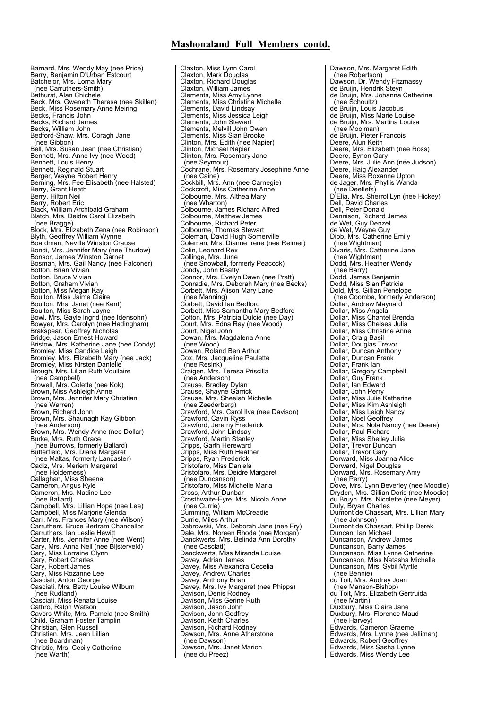Barnard, Mrs. Wendy May (nee Price) Barry, Benjamin D'Urban Estcourt Batchelor, Mrs. Lorna Mary (nee Carruthers-Smith) Bathurst, Alan Chichele Beck, Mrs. Gweneth Theresa (nee Skillen) Beck, Miss Rosemary Anne Meiring Becks, Francis John Becks, Richard James Becks, William John Bedford-Shaw, Mrs. Coragh Jane (nee Gibbon) Bell, Mrs. Susan Jean (nee Christian) Bennett, Mrs. Anne Ivy (nee Wood) Bennett, Louis Henry Bennett, Reginald Stuart Berger, Wayne Robert Henry Berning, Mrs. Fee Elisabeth (nee Halsted) Berry, Grant Heath Berry, Hilton Neil Berry, Robert Eric Black, William Archibald Graham Blatch, Mrs. Deidre Carol Elizabeth (nee Bragge) Block, Mrs. Elizabeth Zena (nee Robinson) Blyth, Geoffrey William Wynne Boardman, Neville Winston Crause Bondi, Mrs. Jennifer Mary (nee Thurlow) Bonsor, James Winston Garnet Bosman, Mrs. Gail Nancy (nee Falconer) Botton, Brian Vivian Botton, Bruce Vivian Botton, Graham Vivian Botton, Miss Megan Kay Boulton, Miss Jaime Claire Boulton, Mrs. Janet (nee Kent) Boulton, Miss Sarah Jayne Bowl, Mrs. Gayle lngrid (nee Idensohn) Bowyer, Mrs. Carolyn (nee Hadingham) Brakspear, Geoffrey Nicholas Bridge, Jason Ernest Howard Bristow, Mrs. Katherine Jane (nee Condy) Bromley, Miss Candice Leigh Bromley, Mrs. Elizabeth Mary (nee Jack) Bromley, Miss Kirsten Danielle Brough, Mrs. Lilian Ruth Voullaire (nee Campbell) Browell, Mrs. Colette (nee Kok) Brown, Miss Ashleigh Anne Brown, Mrs. Jennifer Mary Christian (nee Warren) Brown, Richard John Brown, Mrs. Shaunagh Kay Gibbon (nee Anderson) Brown, Mrs. Wendy Anne (nee Dollar) Burke, Mrs. Ruth Grace (nee Burrows, formerly Ballard) Butterfield, Mrs. Diana Margaret (nee Maltas, formerly Lancaster) Cadiz, Mrs. Meriem Margaret (nee Holderness) Callaghan, Miss Sheena Cameron, Angus Kyle Cameron, Mrs. Nadine Lee (nee Ballard) Campbell, Mrs. Lillian Hope (nee Lee) Campbell, Miss Marjorie Glenda Carr, Mrs. Frances Mary (nee Wilson) Carruthers, Bruce Bertram Chancellor Carruthers, Ian Leslie Hewitt Carter, Mrs. Jennifer Anne (nee Went) Cary, Mrs. Anna Nell (nee Bijsterveld) Cary, Miss Lorraine Glynn Cary, Robert Charles Cary, Robert James Cary, Miss Rozanne Lee Casciati, Anton George Casciati, Mrs. Betty Louise Wilburn (nee Rudland) Casciati, Miss Renata Louise Cathro, Ralph Watson Cavers-White, Mrs. Pamela (nee Smith) Child, Graham Foster Tamplin Christian, Glen Russell Christian, Mrs. Jean Lillian (nee Boardman) Christie, Mrs. Cecily Catherine (nee Warth)

Claxton, Miss Lynn Carol Claxton, Mark Douglas Claxton, Richard Douglas Claxton, William James Clements, Miss Amy Lynne Clements, Miss Christina Michelle Clements, David Lindsay Clements, Miss Jessica Leigh Clements, John Stewart Clements, Melvill John Owen Clements, Miss Sian Brooke Clinton, Mrs. Edith (nee Napier) Clinton, Michael Napier Clinton, Mrs. Rosemary Jane (nee Seymour) Cochrane, Mrs. Rosemary Josephine Anne (nee Caine) Cockbill, Mrs. Ann (nee Carnegie) Cockcroft, Miss Catherine Anne Colbourne, Mrs. Althea Mary (nee Wharton) Colbourne, James Richard Alfred Colbourne, Matthew James Colbourne, Richard Peter Colbourne, Thomas Stewart Coleman, David Hugh Somerville Coleman, Mrs. Dianne Irene (nee Reimer) Colin, Leonard Rex Collinge, Mrs. June (nee Snowball, formerly Peacock) Condy, John Beatty Connor, Mrs. Evelyn Dawn (nee Pratt) Conradie, Mrs. Deborah Mary (nee Becks) Corbett, Mrs. Alison Mary Lane (nee Manning) Corbett, David Ian Bedford Corbett, Miss Samantha Mary Bedford Cotton, Mrs. Patricia Dulcie (nee Day) Court, Mrs. Edna Ray (nee Wood) Court, Nigel John Cowan, Mrs. Magdalena Anne (nee Wood) Cowan, Roland Ben Arthur Cox, Mrs. Jacqueline Paulette (nee Resink) Craigen, Mrs. Teresa Priscilla (nee Anderson) Crause, Bradley Dylan Crause, Shayne Garrick Crause, Mrs. Sheelah Michelle (nee Zeederberg) Crawford, Mrs. Carol Ilva (nee Davison) Crawford, Cavin Ryss Crawford, Jeremy Frederick Crawford, John Lindsay Crawford, Martin Stanley Cripps, Garth Hereward Cripps, Miss Ruth Heather Cripps, Ryan Frederick Cristofaro, Miss Daniela Cristofaro, Mrs. Deidre Margaret (nee Duncanson) Cristofaro, Miss Michelle Maria Cristolard, Miss Micric<br>Cross, Arthur Dunbar Crosthwaite-Eyre, Mrs. Nicola Anne (nee Currie) Cumming, William McCreadie Currie, Miles Arthur Dabrowski, Mrs. Deborah Jane (nee Fry) Dale, Mrs. Noreen Rhoda (nee Morgan) Danckwerts, Mrs. Belinda Ann Dorothy (nee Casciati) Danckwerts, Miss Miranda Louise Davey, Adrian James Davey, Miss Alexandra Cecelia Davey, Andrew Charles Davey, Anthony Brian Davey, Mrs. Ivy Margaret (nee Phipps) Davison, Denis Rodney Davison, Miss Gerine Ruth Davison, Jason John Davison, John Godfrey Davison, Keith Charles Davison, Richard Rodney Dawson, Mrs. Anne Atherstone (nee Dawson) Dawson, Mrs. Janet Marion (nee du Preez)

Dawson, Mrs. Margaret Edith (nee Robertson) Dawson, Dr. Wendy Fitzmassy de Bruijn, Hendrik Steyn de Bruijn, Mrs. Johanna Catherina (nee Schoultz) de Bruijn, Louis Jacobus de Bruijn, Miss Marie Louise de Bruijn, Mrs. Martina Louisa (nee Moolman) de Bruijn, Pieter Francois Deere, Alun Keith Deere, Mrs. Elizabeth (nee Ross) Deere, Eynon Gary Deere, Mrs. Julie Ann (nee Judson) Deere, Haig Alexander Deere, Miss Roxanne Upton de Jager, Mrs. Phyllis Wanda (nee Deetlefs) D'Elia, Mrs. Sherrol Lyn (nee Hickey) Dell, David Charles Dell, Peter Donald Dennison, Richard James de Wet, Guy Denzel de Wet, Wayne Guy Dibb, Mrs. Catherine Emily (nee Wightman) Divaris, Mrs. Catherine Jane (nee Wightman) Dodd, Mrs. Heather Wendy (nee Barry) Dodd, James Benjamin Dodd, Miss Sian Patricia Dold, Mrs. Gillian Penelope (nee Coombe, formerly Anderson) Dollar, Andrew Maynard Dollar, Miss Angela Dollar, Miss Chantel Brenda Dollar, Miss Chelsea Julia Dollar, Miss Christine Anne Dollar, Craig Basil Dollar, Douglas Trevor Dollar, Duncan Anthony Dollar, Duncan Frank Dollar, Frank Ian Dollar, Gregory Campbell Dollar, Guy Frank Dollar, Ian Edward Dollar, John Perry Dollar, Miss Julie Katherine Dollar, Miss Kim Ashleigh Dollar, Miss Leigh Nancy Dollar, Noel Geoffrey Dollar, Mrs. Nola Nancy (nee Deere) Dollar, Paul Richard Dollar, Miss Shelley Julia Dollar, Trevor Duncan Dollar, Trevor Gary Dorward, Miss Joanna Alice Dorward, Nigel Douglas Dorward, Mrs. Rosemary Amy (nee Perry) Dove, Mrs. Lynn Beverley (nee Moodie) Dryden, Mrs. Gillian Doris (nee Moodie) du Bruyn, Mrs. Nicolette (nee Meyer) Duly, Bryan Charles Dumont de Chassart, Mrs. Lillian Mary (nee Johnson) Dumont de Chassart, Phillip Derek Duncan, Ian Michael Duncanson, Andrew James Duncanson, Barry James Duncanson, Miss Lynne Catherine Duncanson, Miss Natasha Michelle Duncanson, Mrs. Sybil Myrtle (nee Bennie) du Toit, Mrs. Audrey Joan (nee Manson-Bishop) du Toit, Mrs. Elizabeth Gertruida (nee Martin) Duxbury, Miss Claire Jane Duxbury, Mrs. Florence Maud (nee Harvey) Edwards, Cameron Graeme Edwards, Mrs. Lynne (nee Jelliman) Edwards, Robert Geoffrey Edwards, Miss Sasha Lynne Edwards, Miss Wendy Lee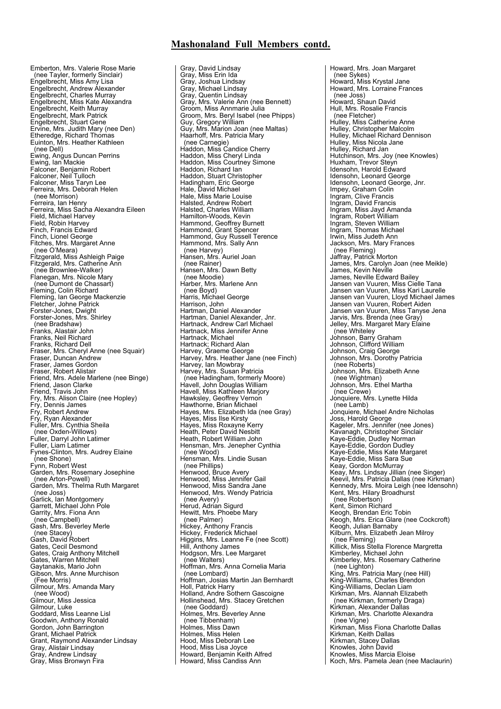Emberton, Mrs. Valerie Rose Marie (nee Tayler, formerly Sinclair) Engelbrecht, Miss Amy Lisa Engelbrecht, Andrew Alexander Engelbrecht, Charles Murray Engelbrecht, Miss Kate Alexandra Engelbrecht, Keith Murray Engelbrecht, Mark Patrick Engelbrecht, Stuart Gene Ervine, Mrs. Judith Mary (nee Den) Etheredge, Richard Thomas Euinton, Mrs. Heather Kathleen (nee Dell) Ewing, Angus Duncan Perrins Ewing, Ian Mackie Falconer, Benjamin Robert Falconer, Neil Tulloch Falconer, Miss Taryn Lee Ferreira, Mrs. Deborah Helen (nee Morrison) Ferreira, Ian Henry Ferreira, Miss Sacha Alexandra Eileen Field, Michael Harvey Field, Robin Harvey Finch, Francis Edward Finch, Lionel George Fitches, Mrs. Margaret Anne (nee O'Meara) Fitzgerald, Miss Ashleigh Paige Fitzgerald, Mrs. Catherine Ann (nee Brownlee-Walker) Flanegan, Mrs. Nicole Mary (nee Dumont de Chassart) Fleming, Colin Richard Fleming, Ian George Mackenzie Fletcher, Johne Patrick Forster-Jones, Dwight Forster-Jones, Mrs. Shirley (nee Bradshaw) Franks, Alastair John Franks, Neil Richard Franks, Richard Dell Fraser, Mrs. Cheryl Anne (nee Squair) Fraser, Duncan Andrew Fraser, James Gordon Fraser, Robert Alistair Friend, Mrs. Adele Marlene (nee Binge) Friend, Jason Clarke Friend, Travis John Fry, Mrs. Alison Claire (nee Hopley) Fry, Dennis James Fry, Robert Andrew Fry, Ryan Alexander Fuller, Mrs. Cynthia Sheila (nee Oxden-Willows) Fuller, Darryl John Latimer Fuller, Liam Latimer Fynes-Clinton, Mrs. Audrey Elaine (nee Shone) Fynn, Robert West Garden, Mrs. Rosemary Josephine (nee Arton-Powell) Garden, Mrs. Thelma Ruth Margaret (nee Joss) Garlick, Ian Montgomery Garrett, Michael John Pole Garrity, Mrs. Fiona Ann (nee Campbell) Gash, Mrs. Beverley Merle (nee Stacey) Gash, David Robert Gates, Cecil Desmond Gates, Craig Anthony Mitchell Gates, Warren Mitchell Gaytanakis, Mario John Gibson, Mrs. Anne Murchison (Fee Morris) Gilmour, Mrs. Amanda Mary (nee Wood) Gilmour, Miss Jessica Gilmour, Luke Goddard, Miss Leanne Lisl Goodwin, Anthony Ronald Gordon, John Barrington Grant, Michael Patrick Grant, Raymond Alexander Lindsay Gray, Alistair Lindsay Gray, Andrew Lindsay Gray, Miss Bronwyn Fira

Gray, David Lindsay Gray, Miss Erin Ida Gray, Joshua Lindsay Gray, Michael Lindsay Gray, Quentin Lindsay Gray, Mrs. Valerie Ann (nee Bennett) Groom, Miss Annmarie Julia Groom, Mrs. Beryl Isabel (nee Phipps) Guy, Gregory William Guy, Mrs. Marion Joan (nee Maltas) Haarhoff, Mrs. Patricia Mary (nee Carnegie) Haddon, Miss Candice Cherry Haddon, Miss Cheryl Linda Haddon, Miss Courtney Simone Haddon, Richard Ian Haddon, Stuart Christopher Hadingham, Eric George Hale, David Michael Hale, Miss Marie Louise Halsted, Andrew Robert Halsted, Charles William Hamilton-Woods, Kevin Hammond, Geoffrey Burnett Hammond, Grant Spencer Hammond, Guy Russell Terence Hammond, Mrs. Sally Ann (nee Harvey) Hansen, Mrs. Auriel Joan (nee Rainer) Hansen, Mrs. Dawn Betty (nee Moodie) Harber, Mrs. Marlene Ann (nee Boyd) Harris, Michael George Harrison, John Hartman, Daniel Alexander Hartman, Daniel Alexander, Jnr. Hartnack, Andrew Carl Michael Hartnack, Miss Jennifer Anne Hartnack, Michael<br>Hartnack, Nichael<br>Hartnack, Richard Alan Hartnack; Richard Alan Harvey, Graeme George Harvey, Mrs. Heather Jane (nee Finch) Harvey, Ian Mowbray Harvey, Mrs. Susan Patricia (nee Hadingham, formerly Moore) Havell, John Douglas William Havell, Miss Kathleen Marjory Hawksley, Geoffrey Vernon Hawthorne, Brian Michael Hayes, Mrs. Elizabeth Ida (nee Gray) Hayes, Miss Ilse Kirsty Hayes, Miss Roxayne Kerry Heath, Peter David Nesbitt Heath, Robert William John Hensman, Mrs. Jenepher Cynthia (nee Wood) Hensman, Mrs. Lindie Susan (nee Phillips) Henwood, Bruce Avery Henwood, Miss Jennifer Gail Henwood, Miss Sandra Jane Henwood, Mrs. Wendy Patricia (nee Avery) Herud, Adrian Sigurd Hewitt, Mrs. Phoebe Mary (nee Palmer) Hickey, Anthony Francis Hickey, Frederick Michael Higgins, Mrs. Leanne Fe (nee Scott) Hill, Anthony James Hodgson, Mrs. Lee Margaret (nee Walters) Hoffman, Mrs. Anna Cornelia Maria (nee Lombard) Hoffman, Josias Martin Jan Bernhardt Holl, Patrick Harry Holland, Andre Sothern Gascoigne Hollinshead, Mrs. Stacey Gretchen (nee Goddard) Holmes, Mrs. Beverley Anne (nee Tibbenham) Holmes, Miss Dawn Holmes, Miss Helen Hood, Miss Deborah Lee Hood, Miss Lisa Joyce Howard, Benjamin Keith Alfred Howard, Miss Candiss Ann

Howard, Mrs. Joan Margaret (nee Sykes) Howard, Miss Krystal Jane Howard, Mrs. Lorraine Frances (nee Joss)<br>Howard, Shaun David Howard, Shaun David Hull, Mrs. Rosalie Francis (nee Fletcher) Hulley, Miss Catherine Anne Hulley, Christopher Malcolm Hulley, Michael Richard Dennison Hulley, Miss Nicola Jane Hulley, Richard Jan Hutchinson, Mrs. Joy (nee Knowles) Huxham, Trevor Steyn Idensohn, Harold Edward Idensohn, Leonard George Idensohn, Leonard George, Jnr. Impey, Graham Colin Ingram, Clive Francis Ingram, David Francis Ingram, Miss Jayd Amanda Ingram, Robert William Ingram, Steven William Ingram, Thomas Michael Inglin, Miss Judeth Ann<br>Irwin, Miss Judeth Ann<br>Jackson, Mrs. Mary Frances Jackson, Mrs. Mary Frances (nee Fleming) Jaffray, Patrick Morton James, Mrs. Carolyn Joan (nee Meikle) James, Kevin Neville James, Neville Edward Bailey Jansen van Vuuren, Miss Cielle Tana Jansen van Vuuren, Miss Kari Laurelle Jansen van Vuuren, Lloyd Michael James Jansen van Vuuren, Robert Aiden Jansen van Vuuren, Miss Tanyse Jena Jarvis, Mrs. Brenda (nee Gray) Jelley, Mrs. Margaret Mary Elaine (nee Whiteley Johnson, Barry Graham Johnson, Clifford William Johnson, Craig George Johnson, Mrs. Dorothy Patricia (nee Roberts) Johnson, Mrs. Elizabeth Anne (nee Wightman) Johnson, Mrs. Ethel Martha (nee Crewe) Jonquiere, Mrs. Lynette Hilda (nee Lamb) Jonquiere, Michael Andre Nicholas Joss, Harold George Kageler, Mrs. Jennifer (nee Jones) Kavanagh, Christopher Sinclair Kaye-Eddie, Dudley Norman Kaye-Eddie, Gordon Dudley Kaye-Eddie, Miss Kate Margaret Kaye-Eddie, Miss Sara Sue Keay, Gordon McMurray Keay, Mrs. Lindsay Jillian (nee Singer) Keevil, Mrs. Patricia Dallas (nee Kirkman) Kennedy, Mrs. Moira Leigh (nee Idensohn) Kent, Mrs. Hilary Broadhurst (nee Robertson) Kent, Simon Richard Keogh, Brendan Eric Tobin Keogh, Mrs. Erica Glare (nee Cockcroft) Keogh, Julian Barnaby Kilburn, Mrs. Elizabeth Jean Milroy (nee Fleming) Killick, Miss Stella Florence Margretta Kimberley, Michael John Kimberley, Mrs. Rosemary Catherine (nee Lighton) King, Mrs. Patricia Mary (nee Hill) King-Williams, Charles Brendon King-Williams, Declan Liam Kirkman, Mrs. Alannah Elizabeth (nee Kirkman, formerly Draga) Kirkman, Alexander Dallas Kirkman, Mrs. Charlotte Alexandra (nee Vigne) Kirkman, Miss Fiona Charlotte Dallas Kirkman, Keith Dallas Kirkman, Stacey Dallas Knowles, John David Knowles, Miss Marcia Eloise Koch, Mrs. Pamela Jean (nee Maclaurin)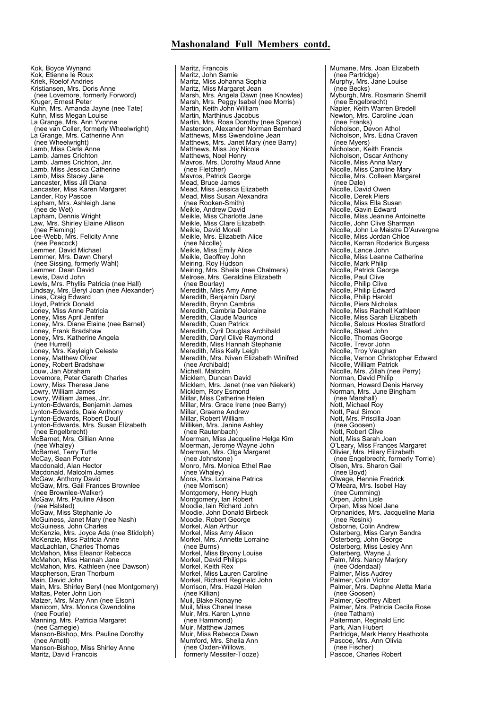Kok, Boyce Wynand Kok, Etienne le Roux Kriek, Roelof Andries Kristiansen, Mrs. Doris Anne (nee Lovemore, formerly Forword) Kruger, Ernest Peter Kuhn, Mrs. Amanda Jayne (nee Tate) Kuhn, Miss Megan Louise La Grange, Mrs. Ann Yvonne (nee van Coller, formerly Wheelwright) La Grange, Mrs. Catherine Ann (nee Wheelwright) Lamb, Miss Carla Anne Lamb, James Crichton Lamb, James Crichton, Jnr. Lamb, Miss Jessica Catherine Lamb, Miss Stacey Jane Lancaster, Miss Jill Diana Lancaster, Miss Karen Margaret Lander, Roy Pascoe Lapham, Mrs. Ashleigh Jane (nee de Wet) Lapham, Dennis Wright Law, Mrs. Shirley Elaine Allison (nee Fleming) Lee-Webb, Mrs. Felicity Anne (nee Peacock) Lemmer, David Michael Lemmer, Mrs. Dawn Cheryl (nee Sissing, formerly Wahl) Lemmer, Dean David Lewis, David John Lewis, Mrs. Phyllis Patricia (nee Hall) Lindsay, Mrs. Beryl Joan (nee Alexander) Lines, Craig Edward Lloyd, Patrick Donald<br>Loney, Miss Anne Patricia<br>Loney, Miss April Jenifer Loney, Mrs. Diane Elaine (nee Barnet) Loney, Frank Bradshaw Loney, Mrs. Katherine Angela (nee Hurrell) Loney, Mrs. Kayleigh Celeste Loney, Matthew Oliver Loney, Robert Bradshaw Louw, Jan Abraham Lovemore, Peter Gareth Charles Lowry, Miss Theresa Jane Lowry, William James Lowry, William James, Jnr. Lynton-Edwards, Benjamin James Lynton-Edwards, Dale Anthony Lynton-Edwards, Robert Doull Lynton-Edwards, Mrs. Susan Elizabeth (nee Engelbrecht) McBarnet, Mrs, Gillian Anne (nee Whaley) McBarnet, Terry Tuttle McCay, Sean Porter Macdonald, Alan Hector Macdonald, Malcolm James McGaw, Anthony David McGaw, Mrs. Gail Frances Brownlee (nee Brownlee-Walker) McGaw, Mrs. Pauline Alison (nee Halsted) McGaw, Miss Stephanie Jo McGuiness, Janet Mary (nee Nash) McGuiness, John Charles McKenzie, Mrs. Joyce Ada (nee Stidolph) McKenzie, Miss Patricia Anne MacLachlan, Charles Thomas McMahon, Miss Eleanor Rebecca McMahon, Miss Hannah Jane McMahon, Mrs. Kathleen (nee Dawson) Macpherson, Eran Thorburn Main, David John Main, Mrs. Shirley Beryl (nee Montgomery) Maltas, Peter John Lion Malzer, Mrs. Mary Ann (nee Elson) Manicom, Mrs. Monica Gwendoline (nee Fourie) Manning, Mrs. Patricia Margaret (nee Carnegie) Manson-Bishop, Mrs. Pauline Dorothy (nee Arnott) Manson-Bishop, Miss Shirley Anne Maritz, David Francois

Maritz, Francois Maritz, John Samie Maritz, Miss Johanna Sophia Maritz, Miss Margaret Jean Marsh, Mrs. Angela Dawn (nee Knowles) Marsh, Mrs. Peggy Isabel (nee Morris) Martin, Keith John William Martin, Marthinus Jacobus Martin, Mrs. Rosa Dorothy (nee Spence)<br>Masterson, Alexander Norman Bernhard<br>Matthews, Miss Gwendoline Jean Matthews, Mrs. Janet Mary (nee Barry) Matthews, Miss Joy Nicola Matthews, Noel Henry Mavros, Mrs. Dorothy Maud Anne (nee Fletcher) Mavros, Patrick George Mead, Bruce James Mead, Miss Jessica Elizabeth Mead, Miss Susan Alexandra (nee Rooken-Smith) Meikle, Andrew David Meikle, Miss Charlotte Jane Meikle, Miss Clare Elizabeth Meikle, David Morell Meikle, Mrs. Elizabeth Alice (nee Nicolle) Meikle, Miss Emily Alice Meikle, Geoffrey John Meiring, Roy Hudson Meiring, Mrs. Sheila (nee Chalmers) Melrose, Mrs. Geraldine Elizabeth (nee Bourlay) Meredith, Miss Amy Anne Meredith, Benjamin Daryl Meredith, Brynn Cambria Meredith, Cambria Deloraine Meredith, Claude Maurice Meredith, Cuan Patrick Meredith, Cyril Douglas Archibald Meredith, Daryl Clive Raymond Meredith, Miss Hannah Stephanie Meredith, Miss Kelly Leigh Meredith, Mrs. Niven Elizabeth Winifred (nee Archibald) Michell, Malcolm Micklem, Duncan David Micklem, Mrs. Janet (nee van Niekerk) Micklem, Rory Esmond Millar, Miss Catherine Helen Millar, Mrs. Grace Irene (nee Barry) Millar, Graeme Andrew Millar, Robert William Milliken, Mrs. Janine Ashley (nee Rautenbach) Moerman, Miss Jacqueline Helga Kim Moerman, Jerome Wayne John Moerman, Mrs. Olga Margaret (nee Johnstone) Monro, Mrs. Monica Ethel Rae (nee Whaley) Mons, Mrs. Lorraine Patrica (nee Morrison) Montgomery, Henry Hugh Montgomery, Ian Robert Moodie, lain Richard John Moodie, John Donald Birbeck Moodie, Robert George Morkel, Alan Arthur Morkel, Miss Amy Alison Morkel, Mrs. Annette Lorraine (nee Burns) Morkel, Miss Bryony Louise Morkel, David Philipps Morkel, Keith Rex Morkel, Miss Lauren Caroline Morkel, Richard Reginald John Morrison, Mrs. Hazel Helen (nee Killian) Muil, Blake Ronayne Muil, Miss Chanel Inese Muir, Mrs. Karen Lynne (nee Hammond) Muir, Matthew James Muir, Miss Rebecca Dawn Mumford, Mrs. Sheila Ann (nee Oxden-Willows, formerly Messiter-Tooze)

Mumane, Mrs. Joan Elizabeth (nee Partridge) Murphy, Mrs. Jane Louise (nee Becks) Myburgh, Mrs. Rosmarin Sherrill (nee Engelbrecht) Napier, Keith Warren Bredell Newton, Mrs. Caroline Joan (nee Franks) Nicholson, Devon Athol Nicholson, Mrs. Edna Craven (nee Myers) Nicholson, Keith Francis Nicholson, Oscar Anthony Nicolle, Miss Anna Mary Nicolle, Miss Caroline Mary Nicolle, Mrs. Colleen Margaret (nee Dale) Nicolle, David Owen Nicolle, Derek Piers Nicolle, Miss Ella Susan Nicolle, Gavin Edward Nicolle, Miss Jeanine Antoinette Nicolle, John Clive Sharman Nicolle, John Le Maistre D'Auvergne Nicolle, Miss Jordan Chloe Nicolle, Kerran Roderick Burgess Nicolle, Lance John Nicolle, Miss Leanne Catherine Nicolle, Mark Philip Nicolle, Patrick George Nicolle, Paul Clive Nicolle, Philip Clive Nicolle, Philip Edward Nicolle, Philip Harold Nicolle, Piers Nicholas Nicolle, Miss Rachell Kathleen Nicolle, Miss Sarah Elizabeth Nicolle, Selous Hostes Stratford Nicolle, Stead John Nicolle, Thomas George Nicolle, Trevor John Nicolle, Troy Vaughan Nicolle, Vernon Christopher Edward Nicolle, William Patrick Nicolle, Mrs. Zillah (nee Perry) Norman, David Philip Norman, Howard Denis Harvey Norman, Mrs. June Bingham (nee Marshall) Nott, Michael Roy Nott, Michael Roy Nott, Mrs. Priscilla Joan (nee Goosen) Nott, Robert Clive Nott, Miss Sarah Joan O'Leary, Miss Frances Margaret Olivier, Mrs. Hilary Elizabeth (nee Engelbrecht, formerly Torrie) Olsen, Mrs. Sharon Gail (nee Boyd) Olwage, Hennie Fredrick O'Meara, Mrs. Isobel Hay (nee Cumming) Orpen, John Lisle Orpen, Miss Noel Jane Orphanides, Mrs. Jacqueline Maria (nee Resink) Osborne, Colin Andrew Osterberg, Miss Caryn Sandra Osterberg, John George Osterberg, Miss Lesley Ann Osterberg, Wayne J. Palm, Mrs. Nancy Marjory (nee Odendaal) Palmer, Miss Audrey Palmer, Colin Victor Palmer, Mrs. Daphne Aletta Maria (nee Goosen) Palmer, Geoffrey Albert Palmer, Mrs. Patricia Cecile Rose (nee Tatham) Palterman, Reginald Eric Park, Alan Hubert Partridge, Mark Henry Heathcote Pascoe, Mrs. Ann Olivia (nee Fischer) Pascoe, Charles Robert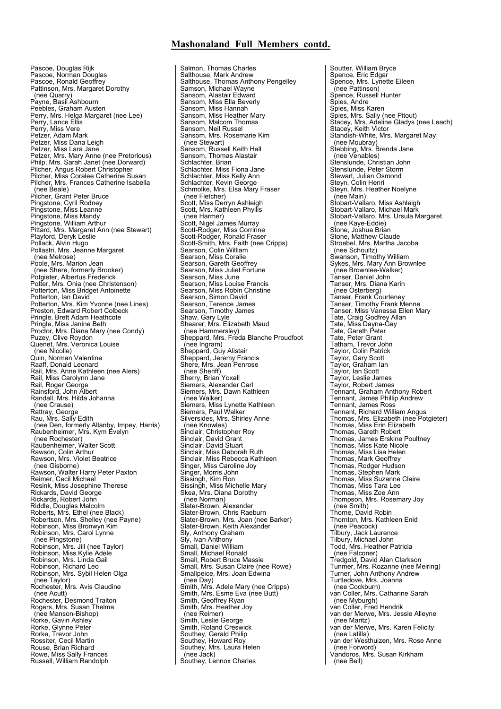Pascoe, Douglas Rijk Pascoe, Norman Douglas Pascoe, Ronald Geoffrey Pattinson, Mrs. Margaret Dorothy (nee Quarry) Payne, Basil Ashbourn Peebles, Graham Austen Perry, Mrs. Helga Margaret (nee Lee) Perry, Lance Ellis Perry, Miss Vere Petzer, Adam Mark Petzer, Miss Dana Leigh Petzer, Miss Lara Jane Petzer, Mrs. Mary Anne (nee Pretorious) Philp, Mrs. Sarah Janet (nee Dorward) Pilcher, Angus Robert Christopher Pilcher, Miss Coralee Catherine Susan Pilcher, Mrs. Frances Catherine Isabella (nee Beale) Pilcher, Grant Peter Bruce Pingstone, Cyril Rodney Pingstone, Miss Leanne Pingstone, Miss Mandy Pingstone, William Arthur<br>Pittard, Mrs. Margaret Ann (nee Stewart) Playford, Deryk Leslie Pollack, Alvin Hugo Pollastri, Mrs. Jeanne Margaret (nee Melrose) Poole, Mrs. Marion Jean (nee Shere, formerly Brooker) Potgieter, Albertus Frederick Potter, Mrs. Onia (nee Christenson) Potterton, Miss Bridget Antoinette Potterton, Ian David Potterton, Mrs. Kim Yvonne (nee Lines) Preston, Edward Robert Colbeck Pringle, Brett Adam Heathcote Pringle, Miss Janine Beth Proctor, Mrs. Diana Mary (nee Condy) Puzey, Clive Roydon Quenet, Mrs. Veronica Louise (nee Nicolle) Quin, Norman Valentine Raaff, Donald Leonard Rail, Mrs. Anne Kathleen (nee Alers) Rail, Miss Carolynn Jane Rail, Roger George Rainsford, John Albert Randall, Mrs. Hilda Johanna (nee Crause) Rattray, George Rau, Mrs. Sally Edith (nee Den, formerly Allanby, Impey, Harris) Raubenheimer, Mrs. Kym Evelyn (nee Rochester) Raubenheimer, Walter Scott Rawson, Colin Arthur Rawson, Mrs. Violet Beatrice (nee Gisborne) Rawson, Walter Harry Peter Paxton Reimer, Cecil Michael Resink, Miss Josephine Therese Rickards, David George Rickards, Robert John Riddle, Douglas Malcolm Roberts, Mrs. Ethel (nee Black) Robertson, Mrs. Shelley (nee Payne) Robinson, Miss Bronwyn Kim Robinson, Mrs. Carol Lynne (nee Pingstone) Robinson, Mrs. Jill (nee Taylor) Robinson, Miss Kylie Adele Robinson, Mrs. Linda Gail Robinson, Richard Leo Robinson, Mrs. Sybil Helen Olga (nee Taylor) Rochester, Mrs. Avis Claudine (nee Acutt) Rochester, Desmond Traiton Rogers, Mrs. Susan Thelma (nee Manson-Bishop) Rorke, Gavin Ashley Rorke, Glynne Peter Rorke, Trevor John Rossiter, Cecil Martin Rouse, Brian Richard Rowe, Miss Sally Frances Russell, William Randolph

Salmon, Thomas Charles Salthouse, Mark Andrew Salthouse, Thomas Anthony Pengelley Samson, Michael Wayne Sansom, Alastair Edward Sansom, Miss Ella Beverly Sansom, Miss Hannah Sansom, Miss Heather Mary Sansom, Malcom Thomas Sansom, Neil Russel Sansom, Mrs. Rosemarie Kim (nee Stewart) Sansom, Russell Keith Hall Sansom, Thomas Alastair Schlachter, Brian Schlachter, Miss Fiona Jane Schlachter, Miss Kelly Ann Schlachter, Kevin George Schmolke, Mrs. Elsa Mary Fraser (nee Fletcher) Scott, Miss Derryn Ashleigh Scott, Mrs. Kathleen Phyllis (nee Harmer) Scott, Nigel James Murray Scott-Rodger, Miss Corrinne Scott-Rodger, Ronald Fraser Scott-Smith, Mrs. Faith (nee Cripps) Searson, Colin William Searson, Miss Coralie Searson, Gareth Geoffrey Searson, Miss Juliet Fortune Searson, Miss June Searson, Miss Louise Francis Searson, Miss Robin Christine Searson, Simon David Searson, Terence James Searson, Timothy James Shaw, Gary Lyle Shearer; Mrs. Elizabeth Maud (nee Hammersley) Sheppard, Mrs. Freda Blanche Proudfoot (nee Ingram) Sheppard, Guy Alistair Sheppard, Jeremy Francis Shere, Mrs. Jean Penrose (nee Sheriff) Sherry, Brian Yoxall Siemers, Alexander Carl Siemers, Mrs. Dawn Kathleen (nee Walker) Siemers, Miss Lynette Kathleen Siemers, Paul Walker Silversides, Mrs. Shirley Anne (nee Knowles) Sinclair, Christopher Roy Sinclair, David Grant Sinclair, David Stuart Sinclair, Miss Deborah Ruth Sinclair, Miss Rebecca Kathleen Singer, Miss Caroline Joy Singer, Morris John Sissingh, Kim Ron Sissingh, Miss Michelle Mary Skea, Mrs. Diana Dorothy (nee Norman) Slater-Brown, Alexander Slater-Brown, Chris Raeburn Slater-Brown, Mrs. Joan (nee Barker) Slater-Brown, Keith Alexander Sly, Anthony Graham Sly, Ivan Anthony Small, Daniel William Small, Michael Ronald Small, Robert Bruce Massie Small, Mrs. Susan Claire (nee Rowe) Smallpeice, Mrs. Joan Edwina (nee Day) Smith, Mrs. Adele Mary (nee Cripps) Smith, Mrs. Esme Eva (nee Butt) Smith, Geoffrey Ryan Smith, Mrs. Heather Joy (nee Reimer) Smith, Leslie George Smith, Roland Creswick Southey, Gerald Philip Southey, Howard Roy Southey, Mrs. Laura Helen (nee Jack) Southey, Lennox Charles

Soutter, William Bryce Spence, Eric Edgar Spence, Mrs. Lynette Eileen (nee Pattinson) Spence, Russell Hunter Spies, Andre Spies, Miss Karen Spies, Mrs. Sally (nee Pitout) Stacey, Mrs. Adeline Gladys (nee Leach) Stacey, Keith Victor Standish-White, Mrs. Margaret May (nee Moubray) Stebbing, Mrs. Brenda Jane (nee Venables) Stenslunde, Christian John Stenslunde, Peter Storm Stewart, Julian Osmond Steyn, Colin Henri Steyn, Mrs. Heather Noelyne (nee Main) Stobart-Vallaro, Miss Ashleigh Stobart-Vallaro, Michael Mark Stobart-Vallaro, Mrs. Ursula Margaret (nee Kaye-Eddie) Stone, Joshua Brian Stone, Matthew Claude Stroebel, Mrs. Martha Jacoba (nee Schoultz) Swanson, Timothy William Sykes, Mrs. Mary Ann Brownlee (nee Brownlee-Walker) Tanser, Daniel John Tanser, Mrs. Diana Karin (nee Osterberg) Tanser, Frank Courteney Tanser, Timothy Frank Menne Tanser, Miss Vanessa Ellen Mary Tate, Craig Godfrey Allan Tate, Miss Dayna-Gay Tate, Gareth Peter Tate, Peter Grant Tatham, Trevor John Taylor, Colin Patrick Taylor, Gary Scott Taylor, Graham Ian Taylor, Ian Scott Taylor, Leslie James Taylor, Robert James Tennant, Graham Anthony Robert Tennant, James Phillip Andrew Tennant, James Ross Tennant, Richard William Angus Thomas, Mrs. Elizabeth (nee Potgieter) Thomas, Miss Erin Elizabeth Thomas, Gareth Robert Thomas, James Erskine Poultney Thomas, Miss Kate Nicole Thomas, Miss Lisa Helen Thomas, Mark Geoffrey Thomas, Rodger Hudson Thomas, Stephen Mark Thomas, Miss Suzanne Claire Thomas, Miss Tara Lee Thomas, Miss Zoe Ann Thompson, Mrs. Rosemary Joy (nee Smith) Thorne, David Robin Thornton, Mrs. Kathleen Enid (nee Peacock) Tilbury, Jack Laurence Tilbury, Michael John Todd, Mrs. Heather Patricia (nee Falconer) Tredgold, David Alan Clarkson Tunmer, Mrs. Rozanne (nee Meiring) Turner, John Anthony Andrew Turtledove, Mrs. Joanna (nee Cockburn) van Coller, Mrs. Catharine Sarah (nee Myburgh) van Coller, Fred Hendrik van der Merwe, Mrs. Jessie Alleyne (nee Maritz) van der Merwe, Mrs. Karen Felicity (nee Latilla) van der Westhuizen, Mrs. Rose Anne (nee Forword) Vandoros, Mrs. Susan Kirkham (nee Bell)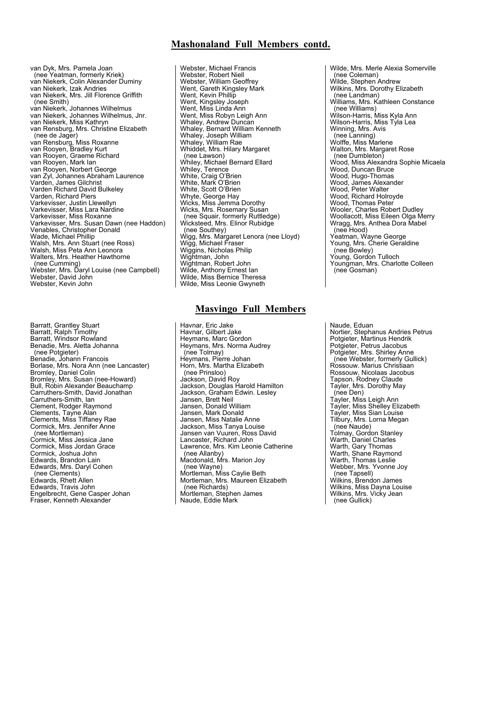van Dyk, Mrs. Pamela Joan (nee Yeatman, formerly Kriek) van Niekerk, Colin Alexander Duminy van Niekerk, Izak Andries van Niekerk, Mrs. Jill Florence Griffith (nee Smith) van Niekerk, Johannes Wilhelmus van Niekerk, Johannes Wilhelmus, Jnr. van Niekerk, Miss Kathryn van Rensburg, Mrs. Christine Elizabeth (nee de Jager) van Rensburg, Miss Roxanne van Rooyen, Bradley Kurt van Rooyen, Graeme Richard van Rooyen, Mark Ian van Rooyen, Norbert George van Zyl, Johannes Abraham Laurence Varden, James Gilchrist Varden Richard David Bulkeley Varden, Richard Piers Varkevisser, Justin Llewellyn Varkevisser, Miss Lara Nardine Varkevisser, Miss Roxanne Varkevisser, Mrs. Susan Dawn (nee Haddon) Venables, Christopher Donald Wade, Michael Phillip Walsh, Mrs. Ann Stuart (nee Ross) Walsh, Miss Peta Ann Leonora Walters, Mrs. Heather Hawthorne (nee Cumming) Webster, Mrs. Daryl Louise (nee Campbell) Webster, David John Webster, Kevin John

Barratt, Grantley Stuart Barratt, Ralph Timothy Barratt, Windsor Rowland Benadie, Mrs. Aletta Johanna (nee Potgieter) Benadie, Johann Francois Borlase, Mrs. Nora Ann (nee Lancaster) Bromley, Daniel Colin Bromley, Mrs. Susan (nee-Howard) Bull, Robin Alexander Beauchamp Carruthers-Smith, David Jonathan Carruthers-Smith, Ian Clement, Rodger Raymond Clements, Tayne Alan Clements, Miss Tiffaney Rae Cormick, Mrs. Jennifer Anne (nee Mortleman) Cormick, Miss Jessica Jane Cormick, Miss Jordan Grace Cormick, Joshua John Edwards, Brandon Lain Edwards, Mrs. Daryl Cohen (nee Clements) Edwards, Rhett Allen Edwards, Travis John Engelbrecht, Gene Casper Johan Fraser, Kenneth Alexander

Webster, Michael Francis Webster, Robert Niell Webster, William Geoffrey Went, Gareth Kingsley Mark Went, Kevin Phillip Went, Kingsley Joseph Went, Miss Linda Ann Went, Miss Robyn Leigh Ann Whaley, Andrew Duncan Whaley, Bernard William Kenneth Whaley, Joseph William Whaley, William Rae Whiddet, Mrs. Hilary Margaret (nee Lawson) Whiley, Michael Bernard Ellard Whiley, Terence White, Craig O'Brien White, Mark O'Brien White, Scott O'Brien Whyte, George Hay Wicks, Miss Jemma Dorothy Wicks, Mrs. Rosemary Susan (nee Squair, formerly Ruttledge) Wicksteed, Mrs. Elinor Rubidge (nee Southey) Wigg, Mrs. Margaret Lenora (nee Lloyd) Wigg, Michael Fraser Wiggins, Nicholas Philip Wightman, John Wightman, Robert John Wilde, Anthony Ernest Ian Wilde, Miss Bernice Theresa Wilde, Miss Leonie Gwyneth

## **Masvingo Full Members**

Havnar, Eric Jake Havnar, Gilbert Jake Heymans, Marc Gordon Heymans, Mrs. Norma Audrey (nee Tolmay) Heymans, Pierre Johan Horn, Mrs. Martha Elizabeth (nee Prinsloo) Jackson, David Roy Jackson, Douglas Harold Hamilton Jackson, Graham Edwin. Lesley Jansen, Brett Neil Jansen, Donald William Jansen, Mark Donald Jansen, Miss Natalie Anne Jackson, Miss Tanya Louise Jansen van Vuuren, Ross David Lancaster, Richard John Lawrence, Mrs. Kim Leonie Catherine (nee Allanby) Macdonald, Mrs. Marion Joy (nee Wayne) Mortleman, Miss Caylie Beth Mortleman, Mrs. Maureen Elizabeth (nee Richards) Mortleman, Stephen James Naude, Eddie Mark

Wilde, Mrs. Merle Alexia Somerville (nee Coleman) Wilde, Stephen Andrew Wilkins, Mrs. Dorothy Elizabeth (nee Landman) Williams, Mrs. Kathleen Constance (nee Williams) Wilson-Harris, Miss Kyla Ann Wilson-Harris, Miss Tyla Lea Winning, Mrs. Avis (nee Lanning) Wolffe, Miss Marlene Walton, Mrs. Margaret Rose (nee Dumbleton) Wood, Miss Alexandra Sophie Micaela Wood, Duncan Bruce Wood, Hugo-Thomas Wood, James Alexander Wood, Peter Walter<br>Wood, Richard Holroyde Wood, Thomas Peter Wooler, Charles Robert Dudley Woollacott, Miss Eileen Olga Merry Wragg, Mrs. Anthea Dora Mabel (nee Hood) Yeatman, Wayne George Young, Mrs. Cherie Geraldine (nee Bowley) Young, Gordon Tulloch Youngman, Mrs. Charlotte Colleen (nee Gosman)

Naude, Eduan Nortier, Stephanus Andries Petrus Potgieter, Martinus Hendrik Potgieter, Petrus Jacobus Potgieter, Mrs. Shirley Anne (nee Webster, formerly Gullick) Rossouw. Marius Christiaan Rossouw, Nicolaas Jacobus Tapson, Rodney Claude Tayler, Mrs. Dorothy May (nee Den) Tayler, Miss Leigh Ann Tayler, Miss Shelley Elizabeth Tayler, Miss Sian Louise Tilbury, Mrs. Lorna Megan (nee Naude) Tolmay, Gordon Stanley Warth, Daniel Charles Warth, Gary Thomas Warth, Shane Raymond Warth, Thomas Leslie<br>Webber, Mrs. Yvonne Joy<br>(nee Tapsell) Wilkins, Brendon James Wilkins, Miss Dayna Louise Wilkins, Mrs. Vicky Jean (nee Gullick)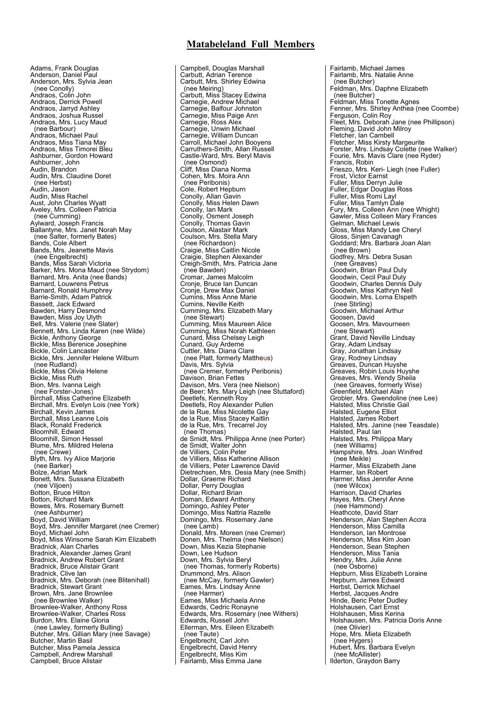## **Matabeleland Full Members**

Adams, Frank Douglas Anderson, Daniel Paul Anderson, Mrs. Sylvia Jean (nee Conolly) Andraos, Colin John Andraos, Derrick Powell Andraos, Jarryd Ashley<br>Andraos, Joshua Russel Andraos, Mrs. Lucy Maud (nee Barbour) Andraos, Michael Paul Andraos, Miss Tiana May Andraos, Miss Timorei Bleu Ashburner, Gordon Howard Ashburner, John Audin, Brandon<br>Audin, Mrs. Claudine Doret (nee Herbst) Audin, Jason<br>Audin, Miss Rachel Audin, Miss Rachel Aust, John Charles Wyatt Aveley, Mrs. Colleen Patricia (nee Cumming) Aylward, Joseph Francis Ballantyne, Mrs. Janet Norah May (nee Salter, formerly Bates) Bands, Cole Albert Bands, Mrs. Jeanette Mavis (nee Engelbrecht) Bands, Miss Sarah Victoria Barker, Mrs. Mona Maud (nee Strydom) Barnard, Mrs. Anita (nee Bands) Barnard, Louwrens Petrus Barnard, Ronald Humphrey Barrie-Smith, Adam Patrick Bassett, Jack Edward Bawden, Harry Desmond Bawden, Miss Joy Ulyth Bell, Mrs. Valerie (nee Slater) Bennett, Mrs. Linda Karen (nee Wilde) Bickle, Anthony George Bickle, Miss Berenice Josephine Bickle, Colin Lancaster Bickle, Mrs. Jennifer Helene Wilburn (nee Rudland) Bickle, Miss Olivia Helene Bickle, Miss Ruth Bion, Mrs. lvanna Leigh (nee Forster-Jones) Birchall, Miss Catherine Elizabeth Birchall, Mrs. Evelyn Lois (nee York) Birchall, Kevin James Birchall, Miss Leanne Lois Black, Ronald Frederick Bloomhill, Edward Bloomhill, Simon Hessel Blume, Mrs. Mildred Helena (nee Crewe) Blyth, Mrs. Ivy Alice Marjorie (nee Barker) Bolze, Adrian Mark Bonett, Mrs. Sussana Elizabeth (nee Viljoen) Botton, Bruce Hilton Botton, Richard Mark Bowes, Mrs. Rosemary Burnett (nee Ashburner) Boyd, David William Boyd, Mrs. Jennifer Margaret (nee Cremer) Boyd, Michael John Boyd, Miss Winsome Sarah Kim Elizabeth Bradnick, Alan Charles Bradnick, Alexander James Grant Bradnick, Andrew Robert Grant Bradnick, Bruce Alistair Grant Bradnick, Clive Ian Bradnick, Mrs. Deborah (nee Blitenihall) Bradnick, Stewart Grant Brown, Mrs. Jane Brownlee (nee Brownlee Walker) Brownlee-Walker, Anthony Ross Brownlee-Walker, Charles Ross Burdon, Mrs. Elaine Gloria (nee Lawley, formerly Bulling) Butcher, Mrs. Gillian Mary (nee Savage) Butcher, Martin Basil Butcher, Miss Pamela Jessica Campbell, Andrew Marshall Campbell, Bruce Alistair

Campbell, Douglas Marshall Carbutt, Adrian Terence Carbutt, Mrs. Shirley Edwina (nee Meiring) Carbutt, Miss Stacey Edwina Carnegie, Andrew Michael Carnegie, Balfour Johnston Carnegie, Miss Paige Ann Carnegie, Ross Alex Carnegie, Unwin Michael Carnegie, William Duncan Carroll, Michael John Booyens Carruthers-Smith, Allan Russell Castle-Ward, Mrs. Beryl Mavis (nee Osmond) Cliff, Miss Diana Norma Cohen, Mrs. Moira Ann (nee Peribonis) Cole, Robert Hepburn Conolly, Allan Gavin Conolly, Miss Helen Dawn Conolly, Ian Mark Conolly, Osment Joseph Conolly, Thomas Gavin Coulson, Alastair Mark Coulson, Mrs. Stella Mary (nee Richardson) Craigie, Miss Caitlin Nicole Craigie, Stephen Alexander Creigh-Smith, Mrs. Patricia Jane (nee Bawden) Cromar, James Malcolm Cronje, Bruce Ian Duncan Cronje, Drew Max Daniel Cumins, Miss Anne Marie Cumins, Neville Keith Cumming, Mrs. Elizabeth Mary (nee Stewart) Cumming, Miss Maureen Alice Cumming, Miss Norah Kathleen Cunard, Miss Chelsey Leigh Cunard, Guy Arderne<br>Cuttler, Mrs. Diana Clare<br>(nee Platt, formerly Mattheus) Davis, Mrs. Sylvia (nee Cremer, formerly Peribonis) Davison, Brian Fettes Davison, Mrs. Vera (nee Nielson) de Beer; Mrs. Mary Leigh (nee Stuttaford) Deetlefs, Kenneth Roy Deetlefs, Roy Alexander Pullen de la Rue, Miss Nicolette Gay de la Rue, Miss Stacey Kaitlin de la Rue, Mrs. Trecarrel Joy (nee Thomas) de Smidt, Mrs. Philippa Anne (nee Porter) de Smidt, Walter John de Villiers, Colin Peter de Villiers, Miss Katherine Allison de Villiers, Peter Lawrence David Dietrechsen, Mrs. Desia Mary (nee Smith) Dollar, Graeme Richard Dollar, Perry Douglas Dollar, Richard Brian Doman, Edward Anthony Domingo, Ashley Peter Domingo, Miss Nattria Razelle Domingo, Mrs. Rosemary Jane (nee Lamb) Donald, Mrs. Moreen (nee Cremer) Donen, Mrs. Thelma (nee Nielson) Down, Miss Kezia Stephanie Down, Lee Hudson Down, Mrs. Sylvia Beryl (nee Thomas, formerly Roberts) Drummond, Mrs. Alison (nee McCay, formerly Gawler) Eames, Mrs. Lindsay Anne (nee Harmer) Eames, Miss Michaela Anne Edwards, Cedric Ronayne Edwards, Mrs. Rosemary (nee Withers) Edwards, Russell John Ellerman, Mrs. Eileen Elizabeth (nee Taute) Engelbrecht, Carl John Engelbrecht, David Henry Engelbrecht, Miss Kim Fairlamb, Miss Emma Jane

Fairlamb, Michael James Fairlamb, Mrs. Natalie Anne (nee Butcher) Feldman, Mrs. Daphne Elizabeth (nee Butcher) Feldman, Miss Tonette Agnes Fenner, Mrs. Shirley Anthea (nee Coombe) Ferguson, Colin Roy Fleet, Mrs. Deborah Jane (nee Phillipson) Fleming, David John Milroy Fletcher, Ian Cambell Fletcher, Miss Kirsty Margeurite Forster, Mrs. Lindsay Colette (nee Walker) Fourie, Mrs. Mavis Clare (nee Ryder) Francis, Robin Frieszo, Mrs. Keri- Liegh (nee Fuller) Frost, Victor Earnst Fuller, Miss Derryn Julie Fuller, Edgar Douglas Ross Fuller, Miss Romi Layl Fuller, Miss Tamlyn Dale Fury, Mrs. Colleen Ann (nee Whight) Gawler, Miss Colleen Mary Frances Gelman, Michael Lewis Gloss, Miss Mandy Lee Cheryl Gloss, Sinjen Cavanagh Goddard; Mrs. Barbara Joan Alan (nee Brown) Godfrey, Mrs. Debra Susan (nee Greaves) Goodwin, Brian Paul Duly Goodwin, Cecil Paul Duly Goodwin, Charles Dennis Duly Goodwin, Miss Kathryn Nell Goodwin, Mrs. Lorna Elspeth (nee Stirling) Goodwin, Michael Arthur Goosen, David Goosen, Mrs. Mavourneen (nee Stewart) Grant, David Neville Lindsay Gray, Adam Lindsay Gray, Jonathan Lindsay Gray, Rodney Lindsay Greaves, Duncan Huyshe Greaves, Robin Louis Huyshe Greaves, Mrs. Wendy Sheila (nee Greaves, formerly Wise) Greenfield, Michael Alan Grobler, Mrs. Gwendoline (nee Lee) Halsted, Miss Christie Gail Halsted, Eugene Elliot Halsted, James Robert Halsted, Mrs. Janine (nee Teasdale) Halsted, Paul Ian Halsted, Mrs. Philippa Mary (nee Williams) Hampshire, Mrs. Joan Winifred (nee Meikle) Harmer, Miss Elizabeth Jane Harmer, Ian Robert Harmer, Miss Jennifer Anne (nee Wilcox) Harrison, David Charles Hayes, Mrs. Cheryl Anne (nee Hammond) Heathcote, David Starr Henderson, Alan Stephen Accra Henderson, Miss Camilla Henderson, Ian Montrose Henderson, Miss Kim Joan Henderson, Sean Stephen Henderson, Miss Tania Hendry, Mrs. Julie Anne (nee Osborne) Hepburn, Miss Elizabeth Loraine Hepburn, James Edward Herbst, Derrick Michael Herbst, Jacques Andre Hinde, Beric Peter Dudley Holshausen, Carl Ernst Holshausen, Miss Kerina Holshausen, Mrs. Patricia Doris Anne (nee Olivier) Hope, Mrs. Mieta Elizabeth (nee Hygers) Hubert, Mrs. Barbara Evelyn (nee McAllister) Ilderton, Graydon Barry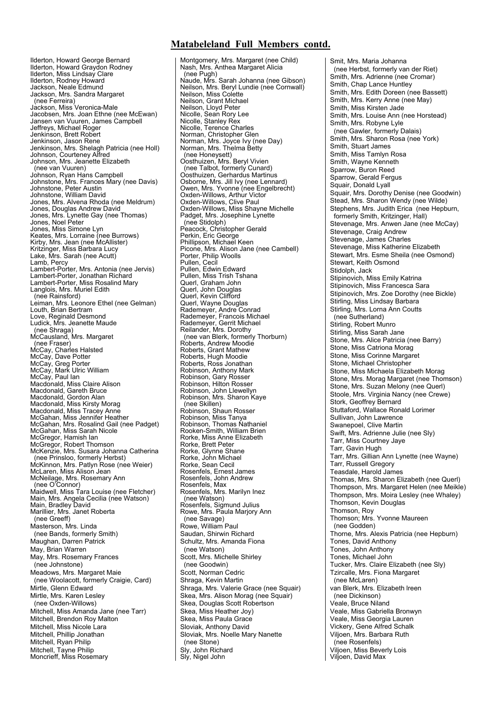## **Matabeleland Full Members contd.**

Ilderton, Howard George Bernard Ilderton, Howard Graydon Rodney Ilderton, Miss Lindsay Clare Ilderton, Rodney Howard Jackson, Neale Edmund Jackson, Mrs. Sandra Margaret (nee Ferreira) Jackson, Miss Veronica-Male Jacobsen, Mrs. Joan Ethne (nee McEwan) Jansen van Vuuren, James Campbell Jeffreys, Michael Roger Jenkinson, Brett Robert Jenkinson, Jason Rene<br>Jenkinson, Mrs. Shelagh Patricia (nee Holl) Johnson, Courteney Alfred Johnson, Mrs. Jeanette Elizabeth (nee van Vuuren) Johnson, Ryan Hans Campbell Johnstone, Mrs. Frances Mary (nee Davis) Johnstone, Peter Austin Johnstone, William David Jones, Mrs. Alvena Rhoda (nee Meldrum) Jones, Douglas Andrew David Jones, Mrs. Lynette Gay (nee Thomas) Jones, Noel Peter Jones, Miss Simone Lyn Keates, Mrs. Lorraine (nee Burrows) Kirby, Mrs. Jean (nee McAllister) Kritzinger, Miss Barbara Lucy Lake, Mrs. Sarah (nee Acutt) Lamb, Percy Lambert-Porter, Mrs. Antonia (nee Jervis) Lambert-Porter, Jonathan Richard Lambert-Porter, Miss Rosalind Mary Langlois, Mrs. Muriel Edith (nee Rainsford) Leiman, Mrs. Leonore Ethel (nee Gelman) Louth, Brian Bertram Love, Reginald Desmond Ludick, Mrs. Jeanette Maude (nee Shraga) McCausland, Mrs. Margaret (nee Fraser) McCay, Charles Halsted McCay, Dave Potter McCay, Greg Porter McCay, Mark Ulric William McCay, Paul Ian Macdonald, Miss Claire Alison Macdonald, Gareth Bruce Macdonald, Gordon Alan Macdonald, Miss Kirsty Morag Macdonald, Miss Tracey Anne McGahan, Miss Jennifer Heather McGahan, Mrs. Rosalind Gail (nee Padget) McGahan, Miss Sarah Nicole McGregor, Hamish Ian McGregor, Robert Thomson McKenzie, Mrs. Susara Johanna Catherina (nee Prinsloo, formerly Herbst) McKinnon, Mrs. Patlyn Rose (nee Weier) McLaren, Miss Alison Jean McNeilage, Mrs. Rosemary Ann (nee O'Connor) Maidwell, Miss Tara Louise (nee Fletcher) Main, Mrs. Angela Cecilia (nee Watson) Main, Bradley David Marillier, Mrs. Janet Roberta (nee Greeff) Masterson, Mrs. Linda (nee Bands, formerly Smith) Maughan, Darren Patrick May, Brian Warren May, Mrs. Rosemary Frances (nee Johnstone) Meadows, Mrs. Margaret Maie (nee Woolacott, formerly Craigie, Card) Mirtle, Glenn Edward Mirtle, Mrs. Karen Lesley (nee Oxden-Willows) Mitchell, Miss Amanda Jane (nee Tarr) Mitchell, Brendon Roy Malton Mitchell, Miss Nicole Lara Mitchell, Phillip Jonathan Mitchell, Ryan Philip Mitchell, Tayne Philip Moncrieff, Miss Rosemary

Montgomery, Mrs. Margaret (nee Child) Nash, Mrs. Anthea Margaret Alicia (nee Pugh) Naude, Mrs. Sarah Johanna (nee Gibson) Neilson, Mrs. Beryl Lundie (nee Cornwall) Neilson, Miss Colette Neilson, Grant Michael Neilson, Lloyd Peter Nicolle, Sean Rory Lee Nicolle, Stanley Rex Nicolle, Terence Charles Norman, Christopher Glen Norman, Mrs. Joyce Ivy (nee Day) Norman, Mrs. Thelma Betty (nee Honeysett) Oosthuizen, Mrs. Beryl Vivien (nee Talbot, formerly Cunard) Oosthuizen, Gerhardus Martinus Osborne, Mrs. Jill Ivy (nee Lennard) Owen, Mrs. Yvonne (nee Engelbrecht) Oxden-Willows, Arthur Victor Oxden-Willows, Clive Paul Oxden-Willows, Miss Shayne Michelle Padget, Mrs. Josephine Lynette (nee Stidolph) Peacock, Christopher Gerald Perkin, Eric George Phillipson, Michael Keen Picone, Mrs. Alison Jane (nee Cambell) Porter, Philip Woolls Pullen, Cecil Pullen, Edwin Edward Pullen, Miss Trish Tshana Querl, Graham John Querl, John Douglas Querl, Kevin Clifford Querl, Wayne Douglas Rademeyer, Andre Conrad Rademeyer, Francois Michael Rademeyer, Gerrit Michael Reilander, Mrs. Dorothy (nee van Blerk, formerly Thorburn) Roberts, Andrew Moodie Roberts, Grant Mathew Roberts, Hugh Moodie Roberts, Ross Jonathan Robinson, Anthony Mark Robinson, Gary Rosser Robinson, Hilton Rosser Robinson, John Llewellyn Robinson, Mrs. Sharon Kaye (nee Skillen) Robinson, Shaun Rosser Robinson, Miss Tanya Robinson, Thomas Nathaniel Rooken-Smith, William Brien Rorke, Miss Anne Elizabeth Rorke, Brett Peter Rorke, Glynne Shane Rorke, John Michael Rorke, Sean Cecil Rosenfels, Ernest James Rosenfels, John Andrew Rosenfels, Max Rosenfels, Mrs. Marilyn Inez (nee Watson) Rosenfels, Sigmund Julius Rowe, Mrs. Paula Marjory Ann (nee Savage) Rowe, William Paul Saudan, Shirwin Richard Schultz, Mrs. Amanda Fiona (nee Watson) Scott, Mrs. Michelle Shirley (nee Goodwin) Scott, Norman Cedric Shraga, Kevin Martin Shraga, Mrs. Valerie Grace (nee Squair) Skea, Mrs. Alison Morag (nee Squair) Skea, Douglas Scott Robertson Skea, Miss Heather Joy) Skea, Miss Paula Grace Sloviak, Anthony David Sloviak, Mrs. Noelle Mary Nanette (nee Stone) Sly, John Richard Sly, Nigel John

Smit, Mrs. Maria Johanna (nee Herbst, formerly van der Riet) Smith, Mrs. Adrienne (nee Cromar) Smith, Chap Lance Huntley Smith, Mrs. Edith Doreen (nee Bassett) Smith, Mrs. Kerry Anne (nee May) Smith, Miss Kirsten Jade Smith, Mrs. Louise Ann (nee Horstead) Smith, Mrs. Robyne Lyle (nee Gawler, formerly Dalais) Smith, Mrs. Sharon Rosa (nee York) Smith, Stuart James Smith, Miss Tamlyn Rosa Smith, Wayne Kenneth Sparrow, Buron Reed Sparrow, Gerald Fergus Squair, Donald Lyall Squair, Mrs. Dorothy Denise (nee Goodwin) Stead, Mrs. Sharon Wendy (nee Wilde) Stephens, Mrs. Judith Erica (nee Hepburn, formerly Smith, Kritzinger, Hall) Stevenage, Mrs. Anwen Jane (nee McCay) Stevenage, Craig Andrew Stevenage, James Charles Stevenage, Miss Katherine Elizabeth Stewart, Mrs. Esme Sheila (nee Osmond) Stewart, Keith Osmond Stidolph, Jack Stipinovich, Miss Emily Katrina Stipinovich, Miss Francesca Sara Stipinovich, Mrs. Zoe Dorothy (nee Bickle) Stirling, Miss Lindsay Barbara Stirling, Mrs. Lorna Ann Coutts (nee Sutherland) Stirling, Robert Munro Stirling, Miss Sarah Jane Stone, Mrs. Alice Patricia (nee Barry) Stone, Miss Catriona Morag Stone, Miss Corinne Margaret Stone, Michael Christopher Stone, Miss Michaela Elizabeth Morag Stone, Mrs. Morag Margaret (nee Thomson) Stone, Mrs. Suzan Melony (nee Querl) Stoole, Mrs. Virginia Nancy (nee Crewe) Stork, Geoffrey Bernard Stuttaford, Wallace Ronald Lorimer Sullivan, John Lawrence Swanepoel, Clive Martin Swift, Mrs. Adrienne Julie (nee Sly) Tarr, Miss Courtney Jaye Tarr, Gavin Hugh Tarr, Mrs. Gillian Ann Lynette (nee Wayne) Tarr, Russell Gregory Teasdale, Harold James Thomas, Mrs. Sharon Elizabeth (nee Querl) Thompson, Mrs. Margaret Helen (nee Meikle) Thompson, Mrs. Moira Lesley (nee Whaley) Thomson, Kevin Douglas Thomson, Roy Thomson; Mrs. Yvonne Maureen (nee Godden) Thorne, Mrs. Alexis Patricia (nee Hepburn) Tones, David Anthony Tones, John Anthony Tones, Michael John Tucker, Mrs. Claire Elizabeth (nee Sly) Tzircalle, Mrs. Fiona Margaret (nee McLaren) van Blerk, Mrs. Elizabeth lreen (nee Dickinson) Veale, Bruce Niland Veale, Miss Gabriella Bronwyn Veale, Miss Georgia Lauren Vickery, Gene Alfred Schalk Viljoen, Mrs. Barbara Ruth (nee Rosenfels) Viljoen, Miss Beverly Lois Viljoen, David Max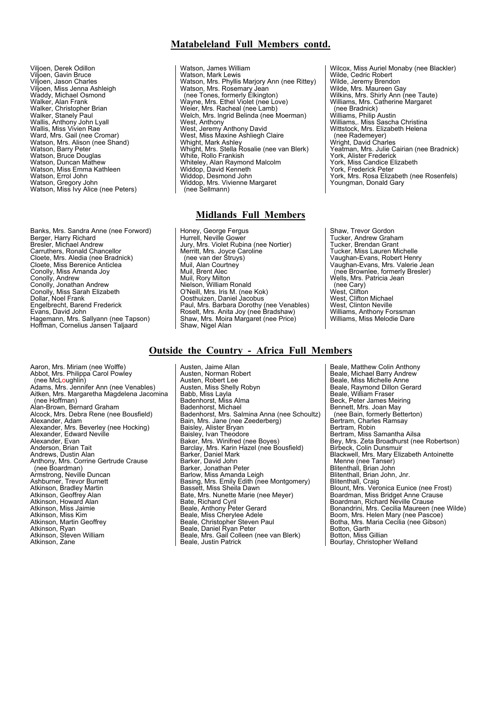## **Matabeleland Full Members contd.**

- Viljoen, Derek Odillon Viljoen, Gavin Bruce Viljoen, Jason Charles Viljoen, Miss Jenna Ashleigh Waddy, Michael Osmond Walker, Alan Frank Walker, Christopher Brian Walker, Stanely Paul Wallis, Anthony John Lyall Wallis, Miss Vivien Rae Ward, Mrs. Gail (nee Cromar) Watson, Mrs. Alison (nee Shand) Watson, Barry Peter Watson, Bruce Douglas Watson, Duncan Mathew Watson, Miss Emma Kathleen Watson, Frrol John Watson, Gregory John<br>Watson, Miss Ivy Alice (nee Peters)
- Banks, Mrs. Sandra Anne (nee Forword) Berger, Harry Richard Bresler, Michael Andrew Carruthers, Ronald Chancellor Cloete, Mrs. Aledia (nee Bradnick) Cloete, Miss Berenice Anticlea Conolly, Miss Amanda Joy Conolly, Andrew Conolly, Jonathan Andrew Conolly, Miss Sarah Elizabeth Dollar, Noel Frank Engelbrecht, Barend Frederick Evans, David John Hagemann, Mrs. Sallyann (nee Tapson) Hoffman, Cornelius Jansen Taljaard
- Watson, James William Watson, Mark Lewis Watson, Mrs. Phyllis Marjory Ann (nee Rittey) Watson, Mrs. Rosemary Jean (nee Tones, formerly Elkington) Wayne, Mrs. Ethel Violet (nee Love) Weier, Mrs. Racheal (nee Lamb) Welch, Mrs. lngrid Belinda (nee Moerman) West, Anthony<br>West, Jeremy Anthony David<br>West, Miss Maxine Ashliegh Claire Whight, Mark Ashley Whight, Mrs. Stella Rosalie (nee van Blerk) White, Rollo Frankish Whiteley, Alan Raymond Malcolm Widdop, David Kenneth Widdop, Desmond John Widdop, Mrs. Vivienne Margaret (nee Sellmann)

## **Midlands Full Members**

- Honey, George Fergus Hurrell, Neville Gower Jury, Mrs. Violet Rubina (nee Nortier) Merritt, Mrs. Joyce Caroline (nee van der Struys) Muil, Alan Courtney Muil, Brent Alec Muil, Rory Milton Nielson, William Ronald O'Neill, Mrs. Iris M. (nee Kok) Oosthuizen, Daniel Jacobus Paul, Mrs. Barbara Dorothy (nee Venables) Roselt, Mrs. Anita Joy (nee Bradshaw) Shaw, Mrs. Moira Margaret (nee Price) Shaw, Nigel Alan
- Wilcox, Miss Auriel Monaby (nee Blackler) Wilde, Cedric Robert Wilde, Jeremy Brendon<br>Wilde, Mrs. Maureen Gay<br>Wilkins, Mrs. Shirly Ann (nee Taute) Williams, Mrs. Catherine Margaret (nee Bradnick) Williams, Philip Austin Williams,. Miss Sascha Christina Wittstock, Mrs. Elizabeth Helena (nee Rademeyer) Wright, David Charles Yeatman, Mrs. Julie Cairian (nee Bradnick) York, Alister Frederick York, Miss Candice Elizabeth York, Frederick Peter York, Mrs. Rosa Elizabeth (nee Rosenfels) Youngman, Donald Gary
- Shaw, Trevor Gordon Tucker, Andrew Graham Tucker, Brendan Grant Tucker, Miss Lauren Michelle Vaughan-Evans, Robert Henry Vaughan-Evans, Mrs. Valerie Jean (nee Brownlee, formerly Bresler) Wells, Mrs. Patricia Jean (nee Cary) West, Clifton West, Clifton Michael West, Clinton Neville Williams, Anthony Forssman Williams, Miss Melodie Dare

## **Outside the Country - Africa Full Members**

- Aaron, Mrs. Miriam (nee Wolffe) Abbot, Mrs. Philippa Carol Powley (nee McLoughlin) Adams, Mrs. Jennifer Ann (nee Venables) Aitken, Mrs. Margaretha Magdelena Jacomina (nee Hoffman) Alan-Brown, Bernard Graham Alcock, Mrs. Debra Rene (nee Bousfield) Alexander, Adam Alexander, Mrs. Beverley (nee Hocking) Alexander, Edward Neville Alexander, Evan Anderson, Brian Tait Andrews, Dustin Alan Anthony, Mrs. Corrine Gertrude Crause (nee Boardman) Armstrong, Neville Duncan Ashburner, Trevor Burnett Atkinson, Bradley Martin Atkinson, Geoffrey Alan Atkinson, Howard Alan Atkinson, Miss Jaimie Atkinson, Miss Kim Atkinson, Martin Geoffrey Atkinson, Ryan Atkinson, Steven William Atkinson, Zane
- Austen, Jaime Allan Austen, Norman Robert Austen, Robert Lee Austen, Miss Shelly Robyn Babb, Miss Layla Badenhorst, Miss Alma Badenhorst, Michael Badenhorst, Mrs. Salmina Anna (nee Schoultz) Bain, Mrs. Jane (nee Zeederberg) Baisley, Alister Bryan Baisley, Ivan Theodore Baker, Mrs. Winifred (nee Boyes) Barclay, Mrs. Karin Hazel (nee Bousfield) Barker, Daniel Mark Barker, David John Barker, Jonathan Peter Barlow, Miss Amanda Leigh Basing, Mrs. Emily Edith (nee Montgomery) Bassett, Miss Sheila Dawn Bate, Mrs. Nunette Marie (nee Meyer) Bate, Richard Cyril Beale, Anthony Peter Gerard Beale, Miss Cherylee Adele Beale, Christopher Steven Paul Beale, Daniel Ryan Peter Beale, Mrs. Gail Colleen (nee van Blerk)

Beale, Justin Patrick

Beale, Matthew Colin Anthony Beale, Michael Barry Andrew Beale, Miss Michelle Anne Beale, Raymond Dillon Gerard Beale, William Fraser Beck, Peter James Meiring Bennett, Mrs. Joan May (nee Bain, formerly Betterton) Bertram, Charles Ramsay Bertram, Robin Bertram, Miss Samantha Ailsa Bey, Mrs. Zeta Broadhurst (nee Robertson) Birbeck, Colin Dunsmuir Blackwell, Mrs. Mary Elizabeth Antoinette Menne (nee Tanser) Blitenthall, Brian John Blitenthall, Brian John, Jnr. Blitenthall, Craig Blount, Mrs. Veronica Eunice (nee Frost) Boardman, Miss Bridget Anne Crause Boardman, Richard Neville Crause Bonandrini, Mrs. Cecilia Maureen (nee Wilde) Boom, Mrs. Helen Mary (nee Pascoe) Botha, Mrs. Maria Cecilia (nee Gibson) Botton, Garth Botton, Miss Gillian Bourlay, Christopher Welland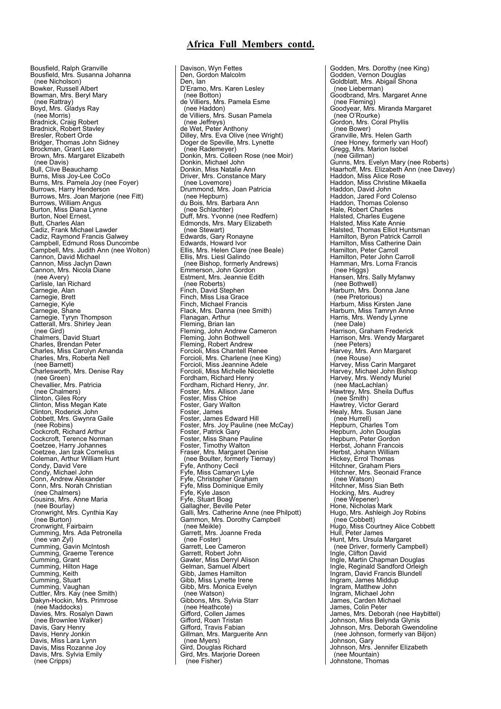## **Africa Full Members contd.**

Bousfield, Ralph Granville Bousfield, Mrs. Susanna Johanna (nee Nicholson) Bowker, Russell Albert Bowman, Mrs. Beryl Mary (nee Rattray) Boyd, Mrs. Gladys Ray (nee Morris) Bradnick, Craig Robert Bradnick, Robert Stavley Bresler, Robert Orde Bridger, Thomas John Sidney Brockman, Grant Leo Brown, Mrs. Margaret Elizabeth (nee Davis) Bull, Clive Beauchamp Burns, Miss Joy-Lee CoCo Burns, Mrs. Pamela Joy (nee Foyer) Burrows, Harry Henderson Burrows, Mrs. Joan Marjorie (nee Fitt) Burrows, William Angus Burton, Miss Diana Lynne Burton, Noel Ernest, Butt, Charles Alan Cadiz, Frank Michael Lawder Cadiz, Raymond Francis Galwey Campbell, Edmund Ross Duncombe Campbell, Mrs. Judith Ann (nee Wolton) Cannon, David Michael Cannon, Miss Jaclyn Dawn Cannon, Mrs. Nicola Diane (nee Avery) Carlisle, Ian Richard Carnegie, Alan Carnegie, Brett Carnegie, Kyle Carnegie, Shane Carnegie, Tyryn Thompson Catterall, Mrs. Shirley Jean (nee Gird) Chalmers, David Stuart Charles, Brendan Peter Charles, Miss Carolyn Amanda Charles, Mrs, Roberta Nell (nee Barnett) Charlesworth, Mrs. Denise Ray (nee Green) Chevallier, Mrs. Patricia (nee Chalmers) Clinton, Giles Rory Clinton, Miss Megan Kate Clinton, Roderick John Cobbett, Mrs. Gwynra Gaile (nee Robins) Cockcroft, Richard Arthur Cockcroft, Terence Norman Coetzee, Harry Johannes Coetzee, Jan Izak Cornelius Coleman, Arthur William Hunt Condy, David Vere Condy, Michael John Conn, Andrew Alexander Conn, Mrs. Norah Christian (nee Chalmers) Cousins, Mrs. Anne Maria (nee Bourlay) Cronwright, Mrs. Cynthia Kay (nee Burton) Cronwright, Fairbairn Cumming, Mrs. Ada Petronella (nee van Zyl) Cumming, Gavin McIntosh Cumming, Graeme Terence Cumming, Grant Cumming, Hilton Hage Cumming, Keith Cumming, Stuart Cumming, Vaughan Cuttler, Mrs. Kay (nee Smith) Dakyn-Hockin, Mrs. Primrose (nee Maddocks) Davies, Mrs. Rosalyn Dawn (nee Brownlee Walker) Davis, Gary Henry Davis, Henry Jonkin Davis, Miss Lara Lynn Davis, Miss Rozanne Joy Davis, Mrs. Sylvia Emily (nee Cripps)

Davison, Wyn Fettes Den, Gordon Malcolm Den, Ian D'Eramo, Mrs. Karen Lesley (nee Botton) de Villiers, Mrs. Pamela Esme (nee Haddon) de Villiers, Mrs. Susan Pamela (nee Jeffreys) de Wet, Peter Anthony Dilley, Mrs. Eva Olive (nee Wright) Doger de Speville, Mrs. Lynette (nee Rademeyer) Donkin, Mrs. Colleen Rose (nee Moir) Donkin, Michael John Donkin, Miss Natalie Ann Driver, Mrs. Constance Mary (nee Lovemore) Drummond, Mrs. Joan Patricia (nee Hepburn) du Bois, Mrs. Barbara Ann (nee Schlachter) Duff, Mrs. Yvonne (nee Redfern) Edmonds, Mrs. Mary Elizabeth (nee Stewart) Edwards, Gary Ronayne Edwards, Howard Ivor Ellis, Mrs. Helen Clare (nee Beale) Ellis, Mrs. Liesl Galindo (nee Bishop, formerly Andrews) Emmerson, John Gordon Estment, Mrs. Jeannie Edith (nee Roberts) Finch, David Stephen Finch, Miss Lisa Grace Finch, Michael Francis Flack, Mrs. Danna (nee Smith) Flanagan, Arthur Fleming, Brian Ian Fleming, John Andrew Cameron Fleming, John Bothwell Fleming, Robert Andrew Forcioli, Miss Chantell Renee Forcioli, Mrs. Charlene (nee King) Forcioli, Miss Jeannine Adele Forcioli, Miss Michelle Nicolette Fordham, Richard Henry Fordham, Richard Henry, Jnr. Foster, Mrs. Allison Jane Foster, Miss Chloe Foster, Gary Walton Foster, James Foster, James Edward Hill Foster, Mrs. Joy Pauline (nee McCay) Foster, Patrick Gary Foster, Miss Shane Pauline Foster, Timothy Walton Fraser, Mrs. Margaret Denise (nee Boulter, formerly Tiernay) Fyfe, Anthony Cecil Fyfe, Miss Camaryn Lyle Fyfe, Christopher Graham Fyfe, Miss Dominique Emily Fyfe, Kyle Jason Fyfe, Stuart Boag Gallagher, Beville Peter Galli, Mrs. Catherine Anne (nee Philpott) Gammon, Mrs. Dorothy Campbell (nee Meikle) Garrett, Mrs. Joanne Freda (nee Foster) Garrett, Lee Cameron Garrett, Robert John Gawler, Miss Derryl Alison Gelman, Samuel Albert Gibb, James Hamilton Gibb, Miss Lynette Irene Gibb, Mrs. Monica Evelyn (nee Watson) Gibbons, Mrs. Sylvia Starr (nee Heathcote) Gifford, Collen James Gifford, Roan Tristan Gifford, Travis Fabian Gillman, Mrs. Marguerite Ann (nee Myers) Gird, Douglas Richard Gird, Mrs. Marjorie Doreen (nee Fisher)

Godden, Mrs. Dorothy (nee King) Godden, Vernon Douglas Goldblatt, Mrs. Abigail Shona (nee Lieberman) Goodbrand, Mrs. Margaret Anne (nee Fleming) Goodyear, Mrs. Miranda Margaret (nee O'Rourke) Gordon, Mrs. Coral Phyllis (nee Bower) Granville, Mrs. Helen Garth (nee Honey, formerly van Hoof) Gregg, Mrs. Marion Isobel (nee Gillman) Gunns, Mrs. Evelyn Mary (nee Roberts) Haarhoff, Mrs. Elizabeth Ann (nee Davey) Haddon, Miss Alice Rose Haddon, Miss Christine Mikaella Haddon, David John Haddon, Jared Ford Colenso Haddon, Thomas Colenso Hale, Robert Charles Halsted, Charles Eugene Halsted, Miss Kate Annie Halsted, Thomas Elliot Huntsman Hamilton, Byron Patrick Carroll Hamilton, Miss Catherine Dain Hamilton, Peter Carroll Hamilton, Peter John Carroll Hamman, Mrs. Lorna Francis (nee Higgs) Hansen, Mrs. Sally Myfanwy (nee Bothwell) Harburn, Mrs. Donna Jane (nee Pretorious) Harburn, Miss Kirsten Jane Harburn, Miss Tamryn Anne Harris, Mrs. Wendy Lynne (nee Dale) Harrison, Graham Frederick Harrison, Mrs. Wendy Margaret (nee Peters) Harvey, Mrs. Ann Margaret (nee Rouse) Harvey, Miss Carin Margaret Harvey, Michael John Bishop Harvey, Mrs. Wendy Muriel (nee MacLachlan) Hawtrey, Mrs. Sheila Duffus (nee Smith) Hawtrey, Victor Gerard Healy, Mrs. Susan Jane (nee Hurrell) Hepburn, Charles Tom Hepburn, John Douglas Hepburn, Peter Gordon Herbst, Johann Francois Herbst, Johann William Hickey, Errol Thomas Hitchner, Graham Piers Hitchner, Mrs. Seonaid France (nee Watson) Hitchner, Miss Sian Beth Hocking, Mrs. Audrey (nee Wepener) Hone, Nicholas Mark Hugo, Mrs. Ashleigh Joy Robins (nee Cobbett) Hugo, Miss Courtney Alice Cobbett Hull, Peter James Hunt, Mrs. Ursula Margaret (nee Driver, formerly Campbell) Ingle, Clifton David Ingle, Martin Chapman Douglas Ingle, Reginald Sandford Orleigh Ingram, David Francis Blundell Ingram, James Middup Ingram, Matthew John Ingram, Michael John James, Carden Michael James, Colin Peter James, Mrs. Deborah (nee Haybittel) Johnson, Miss Belynda Glynis Johnson, Mrs. Deborah Gwendoline (nee Johnson, formerly van Biljon) Johnson, Gary Johnson, Mrs. Jennifer Elizabeth (nee Mountain) Johnstone, Thomas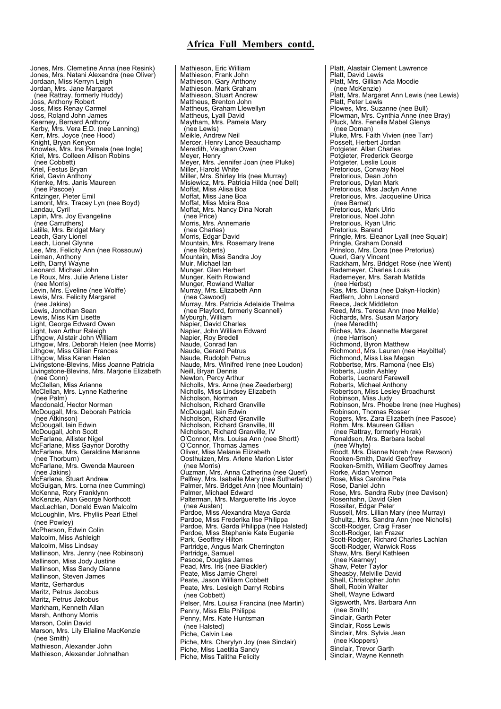## **Africa Full Members contd.**

Jones, Mrs. Clemetine Anna (nee Resink) Jones, Mrs. Natani Alexandra (nee Oliver) Jordaan, Miss Kerryn Leigh Jordan, Mrs. Jane Margaret (nee Rattray, formerly Huddy) Joss, Anthony Robert Joss, Miss Renay Carmel Joss, Roland John James Kearney, Bernard Anthony Kerby, Mrs. Vera E.D. (nee Lanning) Kerr, Mrs. Joyce (nee Hood) Knight, Bryan Kenyon Knowles, Mrs. Ina Pamela (nee Ingle) Kriel, Mrs. Colleen Allison Robins (nee Cobbett) Kriel, Festus Bryan Kriel, Gavin Anthony Krienke, Mrs. Janis Maureen (nee Pascoe) Kritzinger, Pieter Emil Lamont, Mrs. Tracey Lyn (nee Boyd) Landau, Cyril Lapin, Mrs. Joy Evangeline (nee Carruthers) Latilla, Mrs. Bridget Mary Leach, Gary Lionel Leach, Lionel Glynne Lee, Mrs. Felicity Ann (nee Rossouw) Leiman, Anthony Leith, Darryl Wayne Leonard, Michael John Le Roux, Mrs. Julie Arlene Lister (nee Morris) Levin, Mrs. Eveline (nee Wolffe) Lewis, Mrs. Felicity Margaret (nee Jakins) Lewis, Jonothan Sean Lewis, Miss Kim Lisette Light, George Edward Owen Light, Ivan Arthur Raleigh Lithgow, Alistair John William Lithgow, Mrs. Deborah Helen (nee Morris) Lithgow, Miss Gillian Frances Lithgow, Miss Karen Helen Livingstone-Blevins, Miss Joanne Patricia Livingstone-Blevins, Mrs. Marjorie Elizabeth (nee Conn) McClellan, Miss Arianne McClellan, Mrs. Lynne Katherine (nee Palm) Macdonald, Hector Norman McDougall, Mrs. Deborah Patricia (nee Atkinson) McDougall, lain Edwin McDougall, John Scott McFarlane, Allister Nigel McFarlane, Miss Gaynor Dorothy McFarlane, Mrs. Geraldine Marianne (nee Thorburn) McFarlane, Mrs. Gwenda Maureen (nee Jakins) McFarlane, Stuart Andrew McGuigan, Mrs. Lorna (nee Cumming) McKenna, Rory Franklynn McKenzie, Alan George Northcott MacLachlan, Donald Ewan Malcolm McLoughlin, Mrs. Phyllis Pearl Ethel (nee Powley) McPherson, Edwin Colin Malcolm, Miss Ashleigh Malcolm, Miss Lindsay Mallinson, Mrs. Jenny (nee Robinson) Mallinson, Miss Jody Justine Mallinson, Miss Sandy Dianne Mallinson, Steven James Maritz, Gerhardus Maritz, Petrus Jacobus Maritz, Petrus Jakobus Markham, Kenneth Allan Marsh, Anthony Morris Marson, Colin David Marson, Mrs. Lily Ellaline MacKenzie (nee Smith) Mathieson, Alexander John Mathieson, Alexander Johnathan

Mathieson, Eric William Mathieson, Frank John Mathieson, Gary Anthony Mathieson, Mark Graham Mathieson, Stuart Andrew Mattheus, Brenton John Mattheus, Graham Llewellyn Mattheus, Lyall David Maytham, Mrs. Pamela Mary (nee Lewis) Meikle, Andrew Neil Mercer, Henry Lance Beauchamp Meredith, Vaughan Owen Meyer, Henry Meyer, Mrs. Jennifer Joan (nee Pluke) Miller, Harold White Miller, Mrs. Shirley Iris (nee Murray) Misiewicz, Mrs. Patricia Hilda (nee Dell) Moffat, Miss Alisa Boa Moffat, Miss Jane Boa Moffat, Miss Moira Boa Moffat, Mrs. Nancy Dina Norah (nee Price) Morris, Mrs. Annemarie (nee Charles) Morris, Edgar David Mountain, Mrs. Rosemary Irene (nee Roberts) Mountain, Miss Sandra Joy Muir, Michael Ian Munger, Glen Herbert Munger, Keith Rowland Munger, Rowland Walter Murray, Mrs. Elizabeth Ann (nee Cawood) Murray, Mrs. Patricia Adelaide Thelma (nee Playford, formerly Scannell) Myburgh, William Napier, David Charles Napier, John William Edward Napier, Roy Bredell Naude, Conrad Ian Naude, Gerard Petrus Naude, Rudolph Petrus Naude, Mrs. Winifred Irene (nee Loudon) Neill, Bryan Dennis Newton, Percy Arthur Nicholls, Mrs. Anne (nee Zeederberg) Nicholls, Miss Lindsey Elizabeth Nicholson, Norman Nicholson, Richard Granville McDougall, lain Edwin Nicholson, Richard Granville Nicholson, Richard Granville, III Nicholson, Richard Granville, IV O'Connor, Mrs. Louisa Ann (nee Shortt) O'Connor, Thomas James Oliver, Miss Melanie Elizabeth Oosthuizen, Mrs. Arlene Marion Lister (nee Morris) Ouzman, Mrs. Anna Catherina (nee Querl) Palfrey, Mrs. Isabelle Mary (nee Sutherland) Palmer, Mrs. Bridget Ann (nee Mountain) Palmer, Michael Edward Palterman, Mrs. Marguerette Iris Joyce (nee Austen) Pardoe, Miss Alexandra Maya Garda Pardoe, Miss Frederika Ilse Philippa Pardoe, Mrs. Garda Philippa (nee Halsted) Pardoe, Miss Stephanie Kate Eugenie Park, Geoffrey Hilton Partridge, Angus Mark Cherrington Partridge, Samuel Pascoe, Douglas James Pead, Mrs. Iris (nee Blackler) Peate, Miss Jamie Cherel Peate, Jason William Cobbett Peate, Mrs. Lesleigh Darryl Robins (nee Cobbett) Pelser, Mrs. Louisa Francina (nee Martin) Penny, Miss Ella Philippa Penny, Mrs. Kate Huntsman (nee Halsted) Piche, Calvin Lee Piche, Mrs. Cherylyn Joy (nee Sinclair) Piche, Miss Laetitia Sandy Piche, Miss Talitha Felicity

Platt, Alastair Clement Lawrence Platt, David Lewis Platt, Mrs. Gillian Ada Moodie (nee McKenzie) Platt, Mrs. Margaret Ann Lewis (nee Lewis) Platt, Peter Lewis Plowes, Mrs. Suzanne (nee Bull) Plowman, Mrs. Cynthia Anne (nee Bray) Pluck, Mrs. Fenella Mabel Glenys (nee Doman) Pluke, Mrs. Faith Vivien (nee Tarr) Posselt, Herbert Jordan Potgieter, Allan Charles Potgieter, Frederick George Potgieter, Leslie Louis Pretorious, Conway Noel Pretorious, Dean John Pretorious, Dylan Mark Pretorious, Miss Jaclyn Anne Pretorious, Mrs. Jacqueline Ulrica (nee Barnet) Pretorious, Mark Ulric Pretorious, Noel John Pretorious, Ryan Ulric Pretorius, Barend Pringle, Mrs. Eleanor Lyall (nee Squair) Pringle, Graham Donald Prinsloo, Mrs. Dora (nee Pretorius) Querl, Gary Vincent Rackham, Mrs. Bridget Rose (nee Went) Rademeyer, Charles Louis Rademeyer, Mrs. Sarah Matilda (nee Herbst) Ras, Mrs. Diana (nee Dakyn-Hockin) Redfern, John Leonard Reece, Jack Middleton Reed, Mrs. Teresa Ann (nee Meikle) Richards, Mrs. Susan Marjory (nee Meredith) Riches, Mrs. Jeannette Margaret (nee Harrison) Richmond, Byron Matthew Richmon<mark>d</mark>, Mrs. Lauren (nee Haybittel)<br>Richmond, Miss Lisa Megan Robbertse, Mrs. Ramona (nee Els) Roberts, Justin Ashley Roberts, Leonard Farewell Roberts, Michael Anthony Robertson, Miss Lesley Broadhurst Robinson, Miss Judy Robinson, Mrs. Phoebe Irene (nee Hughes) Robinson, Thomas Rosser Rogers, Mrs. Zara Elizabeth (nee Pascoe) Rohm, Mrs. Maureen Gillian (nee Rattray, formerly Horak) Ronaldson, Mrs. Barbara Isobel (nee Whyte) Roodt, Mrs. Dianne Norah (nee Rawson) Rooken-Smith, David Geoffrey Rooken-Smith, William Geoffrey James Rorke, Aidan Vernon Rose, Miss Caroline Peta Rose, Daniel John Rose, Mrs. Sandra Ruby (nee Davison) Rosenhahn, David Glen Rossiter, Edgar Peter Russell, Mrs. Lillian Mary (nee Murray) Schultz,. Mrs. Sandra Ann (nee Nicholls) Scott-Rodger, Craig Fraser Scott-Rodger, Ian Frazer Scott-Rodger, Richard Charles Lachlan Scott-Rodger, Warwick Ross Shaw, Mrs. Beryl Kathleen (nee Kearney) Shaw, Peter Taylor Sheasby, Melville David Shell, Christopher John Shell, Robin Walter Shell, Wayne Edward Sigsworth, Mrs. Barbara Ann (nee Smith) Sinclair, Garth Peter Sinclair, Ross Lewis Sinclair, Mrs. Sylvia Jean (nee Kloppers) Sinclair, Trevor Garth Sinclair, Wayne Kenneth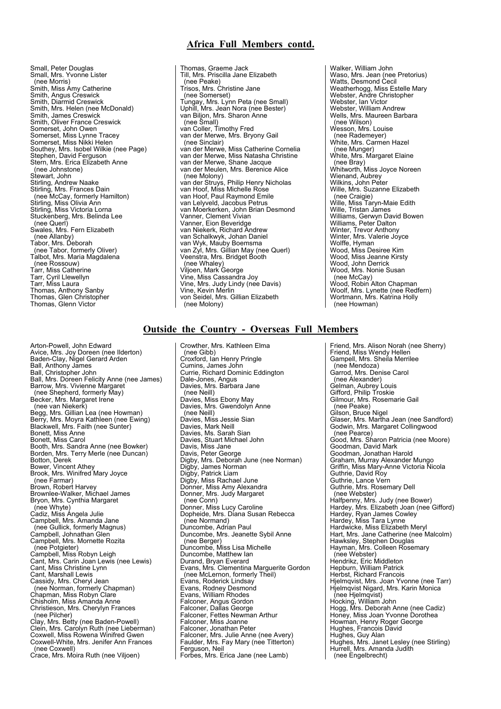## **Africa Full Members contd.**

Small, Peter Douglas Small, Mrs. Yvonne Lister (nee Morris) Smith, Miss Amy Catherine Smith, Angus Creswick Smith, Diarmid Creswick Smith, Mrs. Helen (nee McDonald) Smith, James Creswick Smith, Oliver France Creswick Somerset, John Owen Somerset, Miss Lynne Tracey Somerset, Miss Nikki Helen Southey, Mrs. Isobel Wilkie (nee Page) Stephen, David Ferguson Stern, Mrs. Erica Elizabeth Anne (nee Johnstone) Stewart, John Stirling, Andrew Naake Stirling, Mrs. Frances Dain (nee McCay, formerly Hamilton) Stirling, Miss Olivia Ann Stirling, Miss Victoria Lorna Stuckenberg, Mrs. Belinda Lee (nee Querl) Swales, Mrs. Fern Elizabeth (nee Allanby) Tabor, Mrs. Deborah (nee Tabor, formerly Oliver) Talbot, Mrs. Maria Magdalena (nee Rossouw) Tarr, Miss Catherine Tarr, Cyril Llewellyn Tarr, Miss Laura Thomas, Anthony Sanby Thomas, Glen Christopher Thomas, Glenn Victor

Arton-Powell, John Edward Avice, Mrs. Joy Doreen (nee Ilderton) Baden-Clay, Nigel Gerard Arden Ball, Anthony James Ball, Christopher John Ball, Mrs. Doreen Felicity Anne (nee James) Barrow, Mrs. Vivienne Margaret (nee Shepherd, formerly May) Becker, Mrs. Margaret Irene (nee van Niekerk) Begg, Mrs. Gillian Lea (nee Howman) Berry, Mrs. Moyra Kathleen (nee Ewing) Blackwell, Mrs. Faith (nee Sunter) Bonett, Miss Anne Bonett, Miss Carol Booth, Mrs. Sandra Anne (nee Bowker) Borden, Mrs. Terry Merle (nee Duncan) Botton, Derek Bower, Vincent Athey Brook, Mrs. Winifred Mary Joyce (nee Farmar) Brown, Robert Harvey Brownlee-Walker, Michael James Bryon, Mrs. Cynthia Margaret (nee Whyte) Cadiz, Miss Angela Julie Campbell, Mrs. Amanda Jane (nee Gullick, formerly Magnus) Campbell, Johnathan Glen Campbell, Mrs. Mornette Rozita (nee Potgieter) Campbell, Miss Robyn Leigh Cant, Mrs. Carin Joan Lewis (nee Lewis) Cant, Miss Christine Lynn Cant, Marshall Lewis Cassidy, Mrs. Cheryl Jean (nee Norman, formerly Chapman) Chapman, Miss Robyn Clare Chisholm, Miss Amanda Anne Christieson, Mrs. Cherylyn Frances (nee Pilcher) Clay, Mrs. Betty (nee Baden-Powell) Clein, Mrs. Carolyn Ruth (nee Lieberman) Coxwell, Miss Rowena Winifred Gwen Coxwell-White, Mrs. Jenifer Ann Frances (nee Coxwell) Crace, Mrs. Moira Ruth (nee Viljoen)

Thomas, Graeme Jack Till, Mrs. Priscilla Jane Elizabeth (nee Peake) Trisos, Mrs. Christine Jane (nee Somerset) Tungay, Mrs. Lynn Peta (nee Small) Uphill, Mrs. Jean Nora (nee Bester) van Biljon, Mrs. Sharon Anne (nee Small) van Coller, Timothy Fred van der Merwe, Mrs. Bryony Gail (nee Sinclair) van der Merwe, Miss Catherine Cornelia van der Merwe, Miss Natasha Christine van der Merwe, Shane Jacque van der Meulen, Mrs. Berenice Alice (nee Molony) van der Struys, Philip Henry Nicholas van Hoof, Miss Michelle Rose van Hoof, Paul Raymond Emile van Lelyveld, Jacobus Petrus van Moerkerken, John Brian Desmond Vanner, Clement Vivian Vanner, Eion Beveridge van Niekerk, Richard Andrew van Schalkwyk, Johan Daniel van Wyk, Mauby Boemsma van Zyl, Mrs. Gillian May (nee Querl) Veenstra, Mrs. Bridget Booth (nee Whaley) Viljoen, Mark George Vine, Miss Cassandra Joy Vine, Mrs. Judy Lindy (nee Davis) Vine, Kevin Merlin von Seidel, Mrs. Gillian Elizabeth (nee Molony)

Walker, William John Waso, Mrs. Jean (nee Pretorius) Watts, Desmond Cecil Weatherhogg, Miss Estelle Mary Webster, Andre Christopher Webster, Ian Victor Webster, William Andrew Wells, Mrs. Maureen Barbara (nee Wilson) Wesson, Mrs. Louise (nee Rademeyer) White, Mrs. Carmen Hazel (nee Munger) White, Mrs. Margaret Elaine (nee Bray) Whitworth, Miss Joyce Noreen Wienand, Aubrey Wilkins, John Peter<br>Wille, Mrs. Suzanne Elizabeth (nee Craigie) Wille, Miss Taryn-Maie Edith Wille, Tristan James Williams, Gerwyn David Bowen Williams, Peter Dalton<br>Winter, Trevor Anthony<br>Winter, Mrs. Valerie Joyce Wolffe, Hyman Wood, Miss Desiree Kim Wood, Miss Jeanne Kirsty Wood, John Derrick Wood, Mrs. Nonie Susan (nee McCay) Wood, Robin Alton Chapman Woolf, Mrs. Lynette (nee Redfern) Wortmann, Mrs. Katrina Holly (nee Howman)

#### **Outside the Country - Overseas Full Members**

Crowther, Mrs. Kathleen Elma (nee Gibb) Croxford, Ian Henry Pringle Cumins, James John Currie, Richard Dominic Eddington Dale-Jones, Angus<br>Davies, Mrs. Barbara Jane (nee Neill) Davies, Miss Ebony May Davies, Mrs. Gwendolyn Anne (nee Neill) Davies, Miss Jessie Sian Davies, Mark Neill Davies, Ms. Sarah Sian Davies, Stuart Michael John Davis, Miss Jane Davis, Peter George Digby, Mrs. Deborah June (nee Norman) Digby, James Norman Digby, Patrick Liam Digby, Miss Rachael June Donner, Miss Amy Alexandra Donner, Mrs. Judy Margaret (nee Conn) Donner, Miss Lucy Caroline Dopheide, Mrs. Diana Susan Rebecca (nee Normand) Duncombe, Adrian Paul Duncombe, Mrs. Jeanette Sybil Anne (nee Berger) Duncombe, Miss Lisa Michelle Duncombe, Matthew Ian Durand, Bryan Everard Evans, Mrs. Clementina Marguerite Gordon (nee McLernon, formerly Theil) Evans, Roderick Lindsay Evans, Rodney Desmond Evans, William Rhodes Falconer, Angus Gordon Falconer, Dallas George Falconer, Fettes Newman Arthur Falconer, Miss Joanne Falconer, Jonathan Peter Falconer, Mrs. Julie Anne (nee Avery) Faulder, Mrs. Fay Mary (nee Titterton) Ferguson, Neil Forbes, Mrs. Erica Jane (nee Lamb)

Friend, Mrs. Alison Norah (nee Sherry) Friend, Miss Wendy Hellen Gampell, Mrs. Sheila Merrilee (nee Mendoza) Garrod, Mrs. Denise Carol (nee Alexander) Gelman, Aubrey Louis Gifford, Philip Troskie Gilmour, Mrs. Rosemarie Gail (nee Peake) Gilson, Bruce Nigel Glaser, Mrs. Martha Jean (nee Sandford) Godwin, Mrs. Margaret Collingwood (nee Pearce) Good, Mrs. Sharon Patricia (nee Moore) Goodman, David Mark Goodman, Jonathan Harold Graham, Murray Alexander Mungo Griffin, Miss Mary-Anne Victoria Nicola Guthrie, David Roy Guthrie, Lance Vern Guthrie, Mrs. Rosemary Dell (nee Webster) Halfpenny, Mrs. Judy (nee Bower) Hardey, Mrs. Elizabeth Joan (nee Gifford) Hardey, Ryan James Cowley Hardey, Miss Tara Lynne Hardwicke, Miss Elizabeth Meryl Hart, Mrs. Jane Catherine (nee Malcolm) Hawksley, Stephen Douglas Hayman, Mrs. Colleen Rosemary (nee Webster) Hendrikz, Eric Middleton Hepburn, William Patrick Herbst, Richard Francois Hjelmqvist, Mrs. Joan Yvonne (nee Tarr) Hjelmqvist Nigard, Mrs. Karin Monica (nee Hjelmqvist) Hocking, William John Hogg, Mrs. Deborah Anne (nee Cadiz) Honey, Miss Joan Yvonne Dorothea Howman, Henry Roger George Hughes, Francois David Hughes, Guy Alan Hughes, Mrs. Janet Lesley (nee Stirling) Hurrell, Mrs. Amanda Judith (nee Engelbrecht)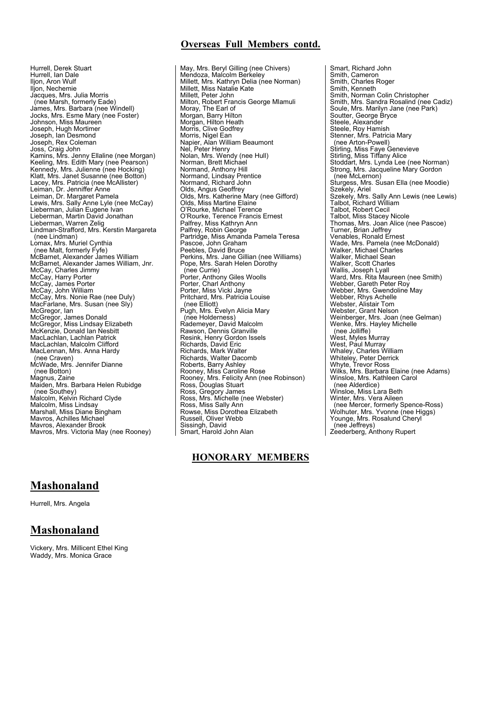## **Overseas Full Members contd.**

Hurrell, Derek Stuart Hurrell, Ian Dale Iljon, Aron Wulf lljon, Nechemie<br>Jacques, Mrs. Julia Morris (nee Marsh, formerly Eade) James, Mrs. Barbara (nee Windell) Jocks, Mrs. Esme Mary (nee Foster) Johnson, Miss Maureen Joseph, Hugh Mortimer Joseph, Ian Desmond Joseph, Rex Coleman Joss, Craig John Kamins, Mrs. Jenny Ellaline (nee Morgan) Keeling, Mrs. Edith Mary (nee Pearson) Kennedy, Mrs. Julienne (nee Hocking) Klatt, Mrs. Janet Susanne (nee Botton) Lacey, Mrs. Patricia (nee McAllister) Leiman, Dr. Jenniffer Anne Leiman, Dr. Margaret Pamela Lewis, Mrs. Sally Anne Lyle (nee McCay) Lieberman, Julian Eugene Ivan Lieberman, Martin David Jonathan Lieberman, Warren Zelig Lindman-Strafford, Mrs. Kerstin Margareta (nee Lindman) Lomax, Mrs. Muriel Cynthia (nee Malt, formerly Fyfe) McBarnet, Alexander James William McBarnet, Alexander James William, Jnr. McCay, Charles Jimmy McCay, Harry Porter McCay, James Porter McCay, John William McCay, Mrs. Nonie Rae (nee Duly) MacFarlane, Mrs. Susan (nee Sly) McGregor, Ian McGregor, James Donald McGregor, Miss Lindsay Elizabeth McKenzie, Donald Ian Nesbitt MacLachlan, Lachlan Patrick MacLachlan, Malcolm Clifford MacLennan, Mrs. Anna Hardy (nee Craven) McWade, Mrs. Jennifer Dianne (nee Botton) Magnus, Zaine Maiden, Mrs. Barbara Helen Rubidge (nee Southey) Malcolm, Kelvin Richard Clyde Malcolm, Miss Lindsay Marshall, Miss Diane Bingham Mavros, Achilles Michael Mavros, Alexander Brook Mavros, Mrs. Victoria May (nee Rooney)

May, Mrs. Beryl Gilling (nee Chivers) Mendoza, Malcolm Berkeley Millett, Mrs. Kathryn Delia (nee Norman) Millett, Miss Natalie Kate Millett, Peter John Milton, Robert Francis George Mlamuli Moray, The Earl of Morgan, Barry Hilton Morgan, Hilton Heath Morris, Clive Godfrey Morris, Nigel Ean Napier, Alan William Beaumont Nel, Peter Henry<br>Nolan, Mrs. Wendy (nee Hull) Norman, Brett Michael Normand, Anthony Hill Normand, Lindsay Prentice Normand, Richard John Olds, Angus Geoffrey Olds, Mrs. Katherine Mary (nee Gifford) Olds, Miss Martine Elaine O'Rourke, Michael Terence O'Rourke, Terence Francis Ernest Palfrey, Miss Kathryn Ann Palfrey, Robin George Partridge, Miss Amanda Pamela Teresa Pascoe, John Graham Peebles, David Bruce Perkins, Mrs. Jane Gillian (nee Williams) Pope, Mrs. Sarah Helen Dorothy (nee Currie) Porter, Anthony Giles Woolls Porter, Charl Anthony Porter, Miss Vicki Jayne Pritchard, Mrs. Patricia Louise (nee Elliott) Pugh, Mrs. Evelyn Alicia Mary (nee Holderness) Rademeyer, David Malcolm Rawson, Dennis Granville Resink, Henry Gordon Issels Richards, David Eric Richards, Mark Walter Richards, Walter Dacomb Roberts, Barry Ashley Rooney, Miss Caroline Rose Rooney, Mrs. Felicity Ann (nee Robinson) Ross, Douglas Stuart Ross, Gregory James Ross, Mrs. Michelle (nee Webster) Ross, Miss Sally Ann Rowse, Miss Dorothea Elizabeth Russell, Oliver Webb Sissingh, David Smart, Harold John Alan

# **HONORARY MEMBERS**

Smart, Richard John Smith, Cameron Smith, Charles Roger Smith, Kenneth Smith, Norman Colin Christopher Smith, Mrs. Sandra Rosalind (nee Cadiz) Soule, Mrs. Marilyn Jane (nee Park) Soutter, George Bryce Steele, Alexander Steele, Roy Hamish Stenner, Mrs. Patricia Mary (nee Arton-Powell) Stirling, Miss Faye Genevieve Stirling, Miss Tiffany Alice Stoddart, Mrs. Lynda Lee (nee Norman) Strong, Mrs. Jacqueline Mary Gordon (nee McLernon) Sturgess, Mrs. Susan Ella (nee Moodie) Szekely, Ariel Szekely, Mrs. Sally Ann Lewis (nee Lewis) Talbot, Richard William Talbot, Robert Cecil Talbot, Miss Stacey Nicole Thomas, Mrs. Joan Alice (nee Pascoe) Turner, Brian Jeffrey Venables, Ronald Ernest Wade, Mrs. Pamela (nee McDonald) Walker, Michael Charles Walker, Michael Sean Walker, Scott Charles Wallis, Joseph Lyall<br>Ward, Mrs. Rita Maureen (nee Smith) Webber, Gareth Peter Roy Webber, Mrs. Gwendoline May Webber, Rhys Achelle Webster, Alistair Tom Webster, Grant Nelson Weinberger, Mrs. Joan (nee Gelman) Wenke, Mrs. Hayley Michelle (nee Jolliffe) West, Myles Murray West, Paul Murray<br>Whaley, Charles William<br>Whiteley, Peter Derrick Whyte, Trevor Ross Wilks, Mrs. Barbara Elaine (nee Adams) Winsloe, Mrs. Kathleen Carol (nee Alderdice) Winsloe, Miss Lara Beth Winter, Mrs. Vera Aileen (nee Mercer, formerly Spence-Ross) Wolhuter, Mrs. Yvonne (nee Higgs) Younge, Mrs. Rosalund Cheryl (nee Jeffreys) Zeederberg, Anthony Rupert

# **Mashonaland**

Hurrell, Mrs. Angela

# **Mashonaland**

Vickery, Mrs. Millicent Ethel King Waddy, Mrs. Monica Grace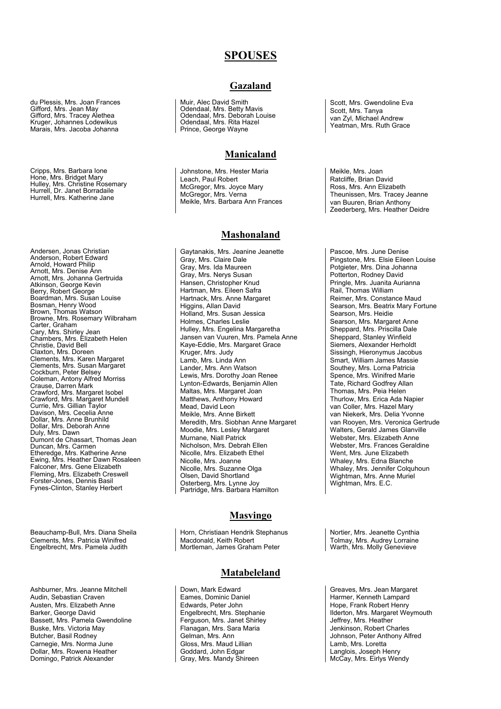## **SPOUSES**

# du Plessis, Mrs. Joan Frances Gifford, Mrs. Jean May Gifford, Mrs. Tracey Alethea Kruger, Johannes Lodewikus Marais, Mrs. Jacoba Johanna

Cripps, Mrs. Barbara Ione Hone, Mrs. Bridget Mary Hulley, Mrs. Christine Rosemary Hurrell, Dr. Janet Borradaile Hurrell, Mrs. Katherine Jane

Andersen, Jonas Christian Anderson, Robert Edward Arnold, Howard Philip Arnott, Mrs. Denise Ann Arnott, Mrs. Johanna Gertruida Atkinson, George Kevin Berry, Robert George Boardman, Mrs. Susan Louise Bosman, Henry Wood Brown, Thomas Watson Browne, Mrs. Rosemary Wilbraham Carter, Graham Cary, Mrs. Shirley Jean Chambers, Mrs. Elizabeth Helen Christie, David Bell Claxton, Mrs. Doreen Clements, Mrs. Karen Margaret Clements, Mrs. Susan Margaret Cockburn, Peter Belsey Coleman, Antony Alfred Morriss Crause, Darren Mark Crawford, Mrs. Margaret Isobel Crawford, Mrs. Margaret Mundell Currie, Mrs. Gillian Taylor Davison, Mrs. Cecelia Anne Dollar, Mrs. Anne Brunhild Dollar, Mrs. Deborah Anne Duly, Mrs. Dawn Dumont de Chassart, Thomas Jean Duncan, Mrs. Carmen Etheredge, Mrs. Katherine Anne Ewing, Mrs. Heather Dawn Rosaleen Falconer, Mrs. Gene Elizabeth Fleming, Mrs. Elizabeth Creswell Forster-Jones, Dennis Basil Fynes-Clinton, Stanley Herbert

Beauchamp-Bull, Mrs. Diana Sheila Clements, Mrs. Patricia Winifred Engelbrecht, Mrs. Pamela Judith

Ashburner, Mrs. Jeanne Mitchell Audin, Sebastian Craven Austen, Mrs. Elizabeth Anne Barker, George David Bassett, Mrs. Pamela Gwendoline Buske, Mrs. Victoria May Butcher, Basil Rodney Carnegie, Mrs. Norma June Dollar, Mrs. Rowena Heather Domingo, Patrick Alexander

## **Gazaland**

Muir, Alec David Smith Odendaal, Mrs. Betty Mavis Odendaal, Mrs. Deborah Louise Odendaal, Mrs. Rita Hazel Prince, George Wayne

## **Manicaland**

Johnstone, Mrs. Hester Maria Leach, Paul Robert McGregor, Mrs. Joyce Mary McGregor, Mrs. Verna Meikle, Mrs. Barbara Ann Frances

### **Mashonaland**

Gaytanakis, Mrs. Jeanine Jeanette Gray, Mrs. Claire Dale Gray, Mrs. Ida Maureen Gray, Mrs. Nerys Susan Hansen, Christopher Knud Hartman, Mrs. Eileen Safra Hartnack, Mrs. Anne Margaret Higgins, Allan David Holland, Mrs. Susan Jessica Holmes, Charles Leslie Hulley, Mrs. Engelina Margaretha Jansen van Vuuren, Mrs. Pamela Anne Kaye-Eddie, Mrs. Margaret Grace Kruger, Mrs. Judy Lamb, Mrs. Linda Ann Lander, Mrs. Ann Watson Lewis, Mrs. Dorothy Joan Renee Lynton-Edwards, Benjamin Allen Maltas, Mrs. Margaret Joan Matthews, Anthony Howard Mead, David Leon Meikle, Mrs. Anne Birkett Meredith, Mrs. Siobhan Anne Margaret Moodie, Mrs. Lesley Margaret Murnane, Niall Patrick Nicholson, Mrs. Debrah Ellen Nicolle, Mrs. Elizabeth Ethel Nicolle, Mrs. Joanne Nicolle, Mrs. Suzanne Olga Olsen, David Shortland Osterberg, Mrs. Lynne Joy Partridge, Mrs. Barbara Hamilton

## **Masvingo**

Horn, Christiaan Hendrik Stephanus Macdonald, Keith Robert Mortleman, James Graham Peter

## **Matabeleland**

Down, Mark Edward Eames, Dominic Daniel Edwards, Peter John Engelbrecht, Mrs. Stephanie Ferguson, Mrs. Janet Shirley Flanagan, Mrs. Sara Maria Gelman, Mrs. Ann Gloss, Mrs. Maud Lillian Goddard, John Edgar Gray, Mrs. Mandy Shireen

Scott, Mrs. Gwendoline Eva Scott, Mrs. Tanya van Zyl, Michael Andrew Yeatman, Mrs. Ruth Grace

Meikle, Mrs. Joan Ratcliffe, Brian David Ross, Mrs. Ann Elizabeth Theunissen, Mrs. Tracey Jeanne van Buuren, Brian Anthony Zeederberg, Mrs. Heather Deidre

Pascoe, Mrs. June Denise Pingstone, Mrs. Elsie Eileen Louise Potgieter, Mrs. Dina Johanna Potterton, Rodney David Pringle, Mrs. Juanita Aurianna Rail, Thomas William Reimer, Mrs. Constance Maud Searson, Mrs. Beatrix Mary Fortune Searson, Mrs. Heidie Searson, Mrs. Margaret Anne Sheppard, Mrs. Priscilla Dale Sheppard, Stanley Winfield Siemers, Alexander Herholdt Sissingh, Hieronymus Jacobus Smart, William James Massie Southey, Mrs. Lorna Patricia Spence, Mrs. Winifred Marie Tate, Richard Godfrey Allan Thomas, Mrs. Peia Helen Thurlow, Mrs. Erica Ada Napier van Coller, Mrs. Hazel Mary van Niekerk, Mrs. Delia Yvonne van Rooyen, Mrs. Veronica Gertrude Walters, Gerald James Glanville Webster, Mrs. Elizabeth Anne Webster, Mrs. Frances Geraldine Went, Mrs. June Elizabeth Whaley, Mrs. Edna Blanche Whaley, Mrs. Jennifer Colquhoun Wightman, Mrs. Anne Muriel Wightman, Mrs. E.C.

Nortier, Mrs. Jeanette Cynthia Tolmay, Mrs. Audrey Lorraine Warth, Mrs. Molly Genevieve

Greaves, Mrs. Jean Margaret Harmer, Kenneth Lampard Hope, Frank Robert Henry Ilderton, Mrs. Margaret Weymouth Jeffrey, Mrs. Heather Jenkinson, Robert Charles Johnson, Peter Anthony Alfred Lamb, Mrs. Loretta Langlois, Joseph Henry McCay, Mrs. Eirlys Wendy